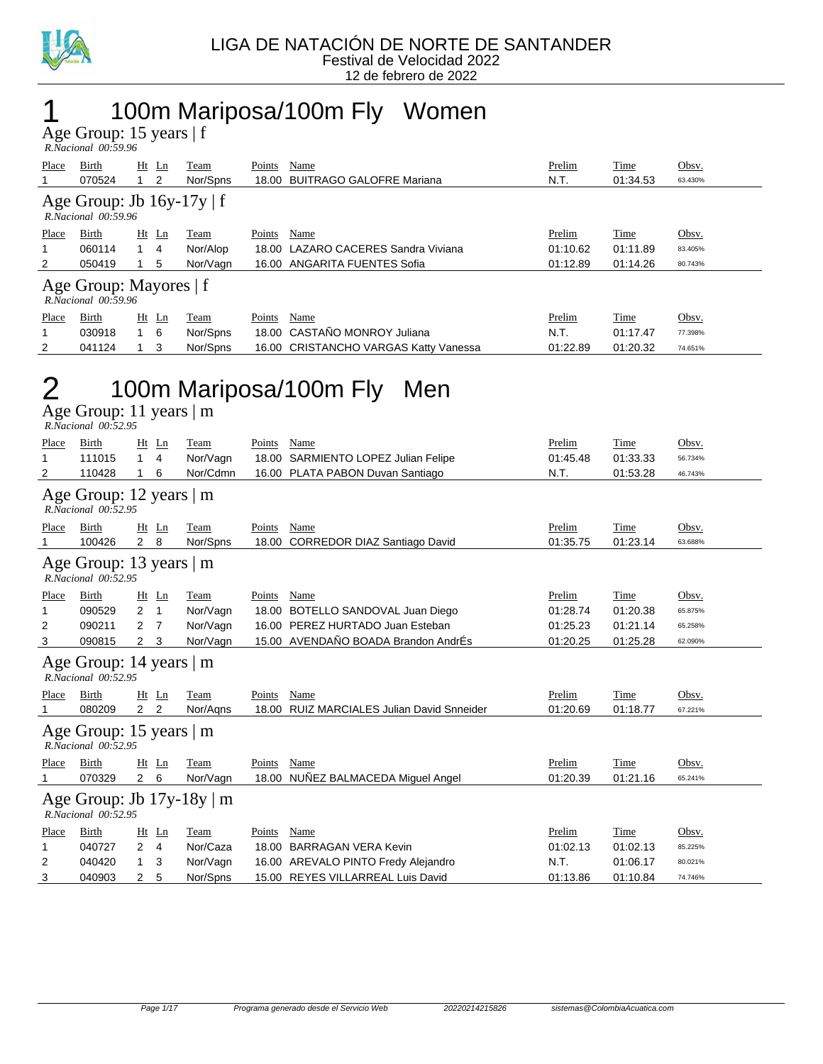

### 1 100m Mariposa/100m Fly Women

Age Group: 15 years | f

|                                                    | R.Nacional 00:59.96                                      |            |          |        |                                       |          |          |         |  |  |
|----------------------------------------------------|----------------------------------------------------------|------------|----------|--------|---------------------------------------|----------|----------|---------|--|--|
| Place                                              | Birth                                                    | $Ht$ Ln    | Team     | Points | Name                                  | Prelim   | Time     | Obsv.   |  |  |
|                                                    | 070524                                                   | 2          | Nor/Spns | 18.00  | <b>BUITRAGO GALOFRE Mariana</b>       | N.T.     | 01:34.53 | 63.430% |  |  |
|                                                    | Age Group: Jb $16y-17y \mid f$<br>$R. Nacional$ 00:59.96 |            |          |        |                                       |          |          |         |  |  |
| Place                                              | Birth                                                    | $Ht$ Ln    | Team     | Points | Name                                  | Prelim   | Time     | Obsv.   |  |  |
|                                                    | 060114                                                   | 4          | Nor/Alop |        | 18.00 LAZARO CACERES Sandra Viviana   | 01:10.62 | 01:11.89 | 83.405% |  |  |
| 2                                                  | 050419                                                   | 5          | Nor/Vagn |        | 16.00 ANGARITA FUENTES Sofia          | 01:12.89 | 01:14.26 | 80.743% |  |  |
| Age Group: Mayores   f<br>$R. Nacional$ $00:59.96$ |                                                          |            |          |        |                                       |          |          |         |  |  |
| Place                                              | Birth                                                    | $Ht$ Ln    | Team     | Points | Name                                  | Prelim   | Time     | Obsv.   |  |  |
| 1                                                  | 030918                                                   | $1\quad 6$ | Nor/Spns |        | 18.00 CASTAÑO MONROY Juliana          | N.T.     | 01:17.47 | 77.398% |  |  |
| 2                                                  | 041124                                                   | 3          | Nor/Spns |        | 16.00 CRISTANCHO VARGAS Katty Vanessa | 01:22.89 | 01:20.32 | 74.651% |  |  |

### 2 100m Mariposa/100m Fly Men

Age Group: 11 years | m  *R.Nacional 00:52.95* 

| Place<br>1<br>2                                 | Birth<br>111015<br>110428                             | Ht<br>$\mathbf{1}$<br>1 | Ln<br>$\overline{4}$<br>6 | Team<br>Nor/Vagn<br>Nor/Cdmn | Points          | Name<br>18.00 SARMIENTO LOPEZ Julian Felipe<br>16.00 PLATA PABON Duvan Santiago | Prelim<br>01:45.48<br>N.T. | Time<br>01:33.33<br>01:53.28 | Obsv.<br>56.734%<br>46.743% |  |
|-------------------------------------------------|-------------------------------------------------------|-------------------------|---------------------------|------------------------------|-----------------|---------------------------------------------------------------------------------|----------------------------|------------------------------|-----------------------------|--|
|                                                 | Age Group: 12 years   m<br>R.Nacional 00:52.95        |                         |                           |                              |                 |                                                                                 |                            |                              |                             |  |
| Place<br>1                                      | Birth<br>100426                                       | $Ht$ Ln<br>$2 \quad 8$  |                           | Team<br>Nor/Spns             | Points<br>18.00 | Name<br>CORREDOR DIAZ Santiago David                                            | Prelim<br>01:35.75         | Time<br>01:23.14             | Obsv.<br>63.688%            |  |
|                                                 | Age Group: 13 years   m<br>R.Nacional 00:52.95        |                         |                           |                              |                 |                                                                                 |                            |                              |                             |  |
| Place                                           | Birth                                                 | Ht                      | Ln                        | <b>Team</b>                  | Points          | Name                                                                            | Prelim                     | Time                         | Obsv.                       |  |
| 1                                               | 090529                                                | $\overline{2}$          | $\overline{1}$            | Nor/Vagn                     |                 | 18.00 BOTELLO SANDOVAL Juan Diego                                               | 01:28.74                   | 01:20.38                     | 65.875%                     |  |
| 2                                               | 090211                                                | $\mathbf{2}$            | - 7                       | Nor/Vagn                     |                 | 16.00 PEREZ HURTADO Juan Esteban                                                | 01:25.23                   | 01:21.14                     | 65.258%                     |  |
| 3                                               | 090815                                                | 2 <sub>3</sub>          |                           | Nor/Vagn                     |                 | 15.00 AVENDAÑO BOADA Brandon AndrÉs                                             | 01:20.25                   | 01:25.28                     | 62.090%                     |  |
|                                                 | Age Group: 14 years $ m$<br>R.Nacional 00:52.95       |                         |                           |                              |                 |                                                                                 |                            |                              |                             |  |
| Place                                           | Birth                                                 | Ht                      | $\mathbf{L}$ n            | Team                         | Points          | Name                                                                            | Prelim                     | Time                         | Obsv.                       |  |
| 1                                               | 080209                                                | $2^{\circ}$             | $\overline{2}$            | Nor/Agns                     |                 | 18.00 RUIZ MARCIALES Julian David Snneider                                      | 01:20.69                   | 01:18.77                     | 67.221%                     |  |
| Age Group: 15 years $ m$<br>R.Nacional 00:52.95 |                                                       |                         |                           |                              |                 |                                                                                 |                            |                              |                             |  |
| Place                                           | Birth                                                 | Ht                      | Ln                        | Team                         | Points          | Name                                                                            | Prelim                     | Time                         | Obsv.                       |  |
| 1                                               | 070329                                                | $2\quad 6$              |                           | Nor/Vagn                     |                 | 18.00 NUÑEZ BALMACEDA Miguel Angel                                              | 01:20.39                   | 01:21.16                     | 65.241%                     |  |
|                                                 | Age Group: Jb $17y-18y \mid m$<br>R.Nacional 00:52.95 |                         |                           |                              |                 |                                                                                 |                            |                              |                             |  |
| Place                                           | Birth                                                 | Ht                      | Ln                        | Team                         | Points          | Name                                                                            | Prelim                     | Time                         | Obsv.                       |  |
| 1                                               | 040727                                                | $\overline{2}$          | 4                         | Nor/Caza                     | 18.00           | <b>BARRAGAN VERA Kevin</b>                                                      | 01:02.13                   | 01:02.13                     | 85.225%                     |  |
| 2                                               | 040420                                                | 1                       | 3                         | Nor/Vagn                     |                 | 16.00 AREVALO PINTO Fredy Alejandro                                             | N.T.                       | 01:06.17                     | 80.021%                     |  |
| 3                                               | 040903                                                | $\overline{2}$          | 5                         | Nor/Spns                     |                 | 15.00 REYES VILLARREAL Luis David                                               | 01:13.86                   | 01:10.84                     | 74.746%                     |  |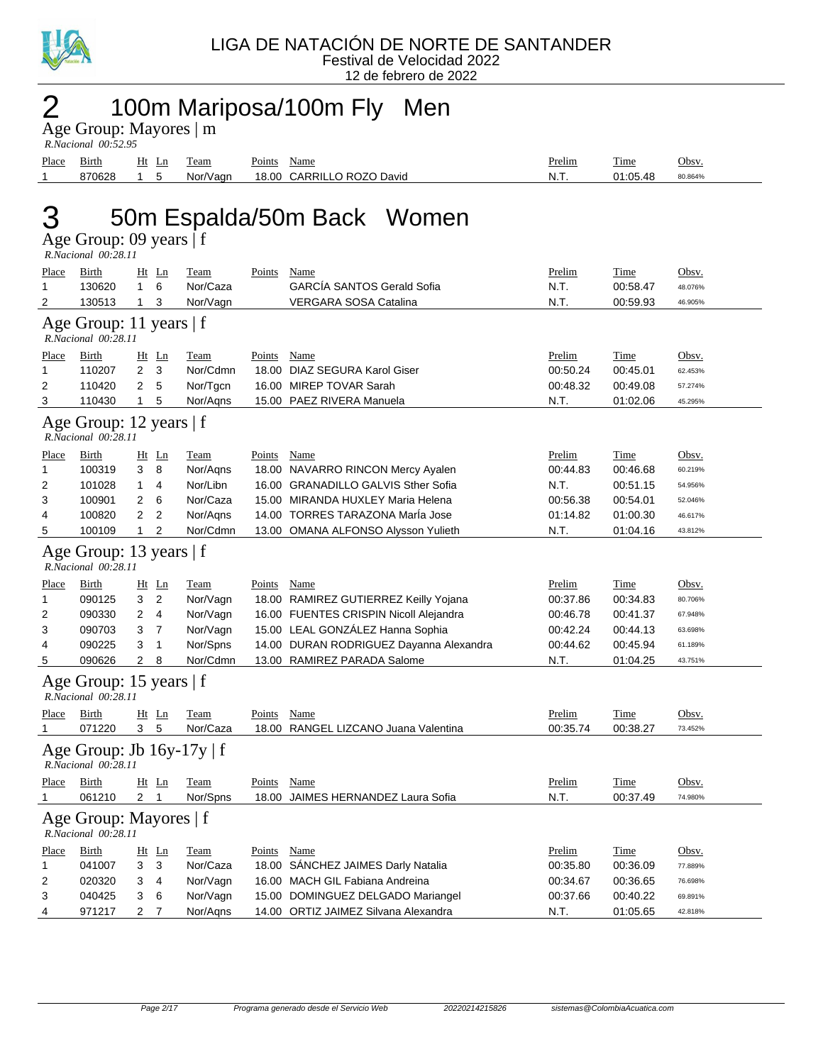

12 de febrero de 2022

# $2$  100m Mariposa/100m Fly Men

| Age Group: Mayores   m |  |
|------------------------|--|
| $R$ Nacional $00.5295$ |  |

|       | 1.1940.00101 00.32.33 |       |          |                           |               |             |         |
|-------|-----------------------|-------|----------|---------------------------|---------------|-------------|---------|
| Place | Birth                 | Ht Ln | Team     | Name<br>Points            | <u>Prelim</u> | <b>Time</b> | Obsv    |
|       | 870628                |       | Nor/Vagn | 18.00 CARRILLO ROZO David | N.T.          | 01:05.48    | 80.864% |

## 3 50m Espalda/50m Back Women

Age Group: 09 years | f

|              | R.Nacional 00:28.11                                   |                |                |             |               |                                         |          |             |         |
|--------------|-------------------------------------------------------|----------------|----------------|-------------|---------------|-----------------------------------------|----------|-------------|---------|
| <b>Place</b> | <b>Birth</b>                                          |                | $Ht$ Ln        | <b>Team</b> | <b>Points</b> | <b>Name</b>                             | Prelim   | <b>Time</b> | Obsv.   |
| 1            | 130620                                                | $\mathbf{1}$   | 6              | Nor/Caza    |               | <b>GARCÍA SANTOS Gerald Sofia</b>       | N.T.     | 00:58.47    | 48.076% |
| 2            | 130513                                                | $\mathbf{1}$   | 3              | Nor/Vagn    |               | <b>VERGARA SOSA Catalina</b>            | N.T.     | 00:59.93    | 46.905% |
|              | Age Group: 11 years $ f $<br>R.Nacional 00:28.11      |                |                |             |               |                                         |          |             |         |
| Place        | Birth                                                 |                | $Ht$ Ln        | <b>Team</b> | Points Name   |                                         | Prelim   | Time        | Obsv.   |
| 1            | 110207                                                | $\overline{2}$ | 3              | Nor/Cdmn    |               | 18.00 DIAZ SEGURA Karol Giser           | 00:50.24 | 00:45.01    | 62.453% |
| 2            | 110420                                                | 2              | 5              | Nor/Tgcn    |               | 16.00 MIREP TOVAR Sarah                 | 00:48.32 | 00:49.08    | 57.274% |
| 3            | 110430                                                | $\mathbf{1}$   | 5              | Nor/Aqns    |               | 15.00 PAEZ RIVERA Manuela               | N.T.     | 01:02.06    | 45.295% |
|              | Age Group: 12 years   f<br>R.Nacional 00:28.11        |                |                |             |               |                                         |          |             |         |
| <b>Place</b> | <b>Birth</b>                                          |                | $Ht$ Ln        | <b>Team</b> | Points Name   |                                         | Prelim   | <b>Time</b> | Obsv.   |
| 1            | 100319                                                | 3              | 8              | Nor/Aqns    |               | 18.00 NAVARRO RINCON Mercy Ayalen       | 00:44.83 | 00:46.68    | 60.219% |
| 2            | 101028                                                | 1              | 4              | Nor/Libn    |               | 16.00 GRANADILLO GALVIS Sther Sofia     | N.T.     | 00:51.15    | 54.956% |
| 3            | 100901                                                | 2              | 6              | Nor/Caza    |               | 15.00 MIRANDA HUXLEY Maria Helena       | 00:56.38 | 00:54.01    | 52.046% |
| 4            | 100820                                                | 2              | $\overline{2}$ | Nor/Agns    |               | 14.00 TORRES TARAZONA Maria Jose        | 01:14.82 | 01:00.30    | 46.617% |
| 5            | 100109                                                | $\mathbf{1}$   | $\overline{2}$ | Nor/Cdmn    |               | 13.00 OMANA ALFONSO Alysson Yulieth     | N.T.     | 01:04.16    | 43.812% |
|              | Age Group: 13 years   f<br>R.Nacional 00:28.11        |                |                |             |               |                                         |          |             |         |
| Place        | <b>Birth</b>                                          |                | Ht Ln          | <b>Team</b> | Points Name   |                                         | Prelim   | <b>Time</b> | Obsv.   |
| 1            | 090125                                                | 3              | $\overline{2}$ | Nor/Vagn    |               | 18.00 RAMIREZ GUTIERREZ Keilly Yojana   | 00:37.86 | 00:34.83    | 80.706% |
| 2            | 090330                                                | 2              | 4              | Nor/Vagn    |               | 16.00 FUENTES CRISPIN Nicoll Alejandra  | 00:46.78 | 00:41.37    | 67.948% |
| 3            | 090703                                                | 3              | $\overline{7}$ | Nor/Vagn    |               | 15.00 LEAL GONZÁLEZ Hanna Sophia        | 00:42.24 | 00:44.13    | 63.698% |
| 4            | 090225                                                | 3              | $\mathbf{1}$   | Nor/Spns    |               | 14.00 DURAN RODRIGUEZ Dayanna Alexandra | 00:44.62 | 00:45.94    | 61.189% |
| 5            | 090626                                                | $\overline{2}$ | 8              | Nor/Cdmn    |               | 13.00 RAMIREZ PARADA Salome             | N.T.     | 01:04.25    | 43.751% |
|              | Age Group: 15 years   f<br>R.Nacional 00:28.11        |                |                |             |               |                                         |          |             |         |
| Place        | Birth                                                 |                | $Ht$ Ln        | Team        | Points Name   |                                         | Prelim   | Time        | Obsv.   |
| $\mathbf{1}$ | 071220                                                | 3 <sub>5</sub> |                | Nor/Caza    |               | 18.00 RANGEL LIZCANO Juana Valentina    | 00:35.74 | 00:38.27    | 73.452% |
|              | Age Group: Jb $16y-17y \mid f$<br>R.Nacional 00:28.11 |                |                |             |               |                                         |          |             |         |
| <u>Place</u> | <b>Birth</b>                                          |                | $Ht$ Ln        | <b>Team</b> | <b>Points</b> | <b>Name</b>                             | Prelim   | <u>Time</u> | Obsv.   |
| 1            | 061210                                                | 2 <sub>1</sub> |                | Nor/Spns    |               | 18.00 JAIMES HERNANDEZ Laura Sofia      | N.T.     | 00:37.49    | 74.980% |
|              | Age Group: Mayores   f<br>R.Nacional 00:28.11         |                |                |             |               |                                         |          |             |         |
| <b>Place</b> | <b>Birth</b>                                          |                | $Ht$ Ln        | <b>Team</b> | Points Name   |                                         | Prelim   | Time        | Obsv.   |
| 1            | 041007                                                | 3              | 3              | Nor/Caza    |               | 18.00 SANCHEZ JAIMES Darly Natalia      | 00:35.80 | 00:36.09    | 77.889% |
| 2            | 020320                                                | 3              | $\overline{4}$ | Nor/Vagn    |               | 16.00 MACH GIL Fabiana Andreina         | 00:34.67 | 00:36.65    | 76.698% |
| 3            | 040425                                                | 3              | 6              | Nor/Vagn    |               | 15.00 DOMINGUEZ DELGADO Mariangel       | 00:37.66 | 00:40.22    | 69.891% |
| 4            | 971217                                                | 2              | $\overline{7}$ | Nor/Agns    |               | 14.00 ORTIZ JAIMEZ Silvana Alexandra    | N.T.     | 01:05.65    | 42.818% |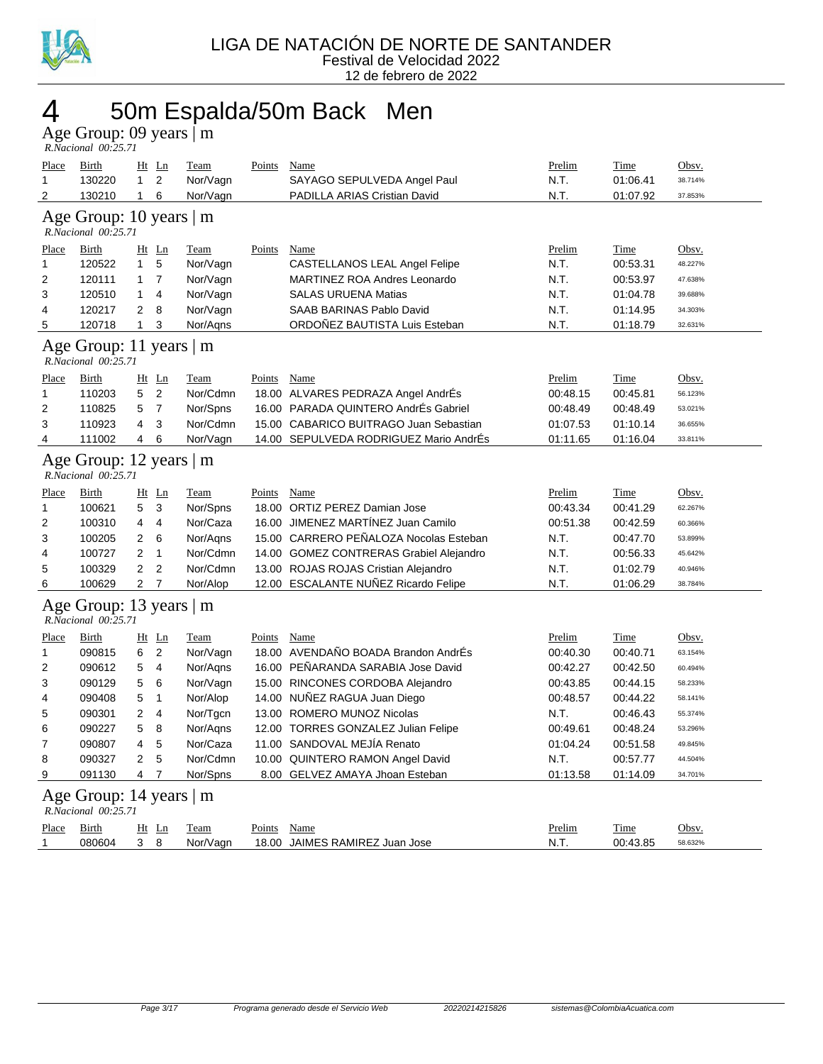

### 4 50m Espalda/50m Back Men

Age Group: 09 years | m  *R.Nacional 00:25.71* 

| Place<br>$\mathbf{1}$                          | <b>Birth</b><br>130220                         | $Ht$ Ln<br>$\mathbf{1}$ | $\overline{2}$ | Team<br>Nor/Vagn | Points        | Name<br>SAYAGO SEPULVEDA Angel Paul     | Prelim<br>N.T. | Time<br>01:06.41 | Obsv.<br>38.714% |  |
|------------------------------------------------|------------------------------------------------|-------------------------|----------------|------------------|---------------|-----------------------------------------|----------------|------------------|------------------|--|
| 2                                              | 130210                                         | $\mathbf{1}$            | 6              | Nor/Vagn         |               | PADILLA ARIAS Cristian David            | N.T.           | 01:07.92         | 37.853%          |  |
|                                                | Age Group: 10 years   m<br>R.Nacional 00:25.71 |                         |                |                  |               |                                         |                |                  |                  |  |
| <b>Place</b>                                   | <b>Birth</b>                                   | Ht Ln                   |                | <b>Team</b>      | <b>Points</b> | <b>Name</b>                             | Prelim         | <b>Time</b>      | Obsv.            |  |
| 1                                              | 120522                                         | $\mathbf{1}$            | 5              | Nor/Vagn         |               | CASTELLANOS LEAL Angel Felipe           | N.T.           | 00:53.31         | 48.227%          |  |
| $\overline{2}$                                 | 120111                                         | $\mathbf{1}$            | $\overline{7}$ | Nor/Vagn         |               | <b>MARTINEZ ROA Andres Leonardo</b>     | N.T.           | 00:53.97         | 47.638%          |  |
| 3                                              | 120510                                         | 1                       | 4              | Nor/Vagn         |               | <b>SALAS URUENA Matias</b>              | N.T.           | 01:04.78         | 39.688%          |  |
| 4                                              | 120217                                         | 2                       | 8              | Nor/Vagn         |               | SAAB BARINAS Pablo David                | N.T.           | 01:14.95         | 34.303%          |  |
| 5                                              | 120718                                         | $\mathbf{1}$            | 3              | Nor/Aqns         |               | ORDOÑEZ BAUTISTA Luis Esteban           | N.T.           | 01:18.79         | 32.631%          |  |
|                                                | Age Group: 11 years   m<br>R.Nacional 00:25.71 |                         |                |                  |               |                                         |                |                  |                  |  |
| Place                                          | Birth                                          | Ht Ln                   |                | <b>Team</b>      | Points Name   |                                         | Prelim         | Time             | Obsv.            |  |
| $\mathbf{1}$                                   | 110203                                         | 5                       | $\overline{2}$ | Nor/Cdmn         |               | 18.00 ALVARES PEDRAZA Angel AndrÉs      | 00:48.15       | 00:45.81         | 56.123%          |  |
| $\overline{2}$                                 | 110825                                         | 5                       | $\overline{7}$ | Nor/Spns         |               | 16.00 PARADA QUINTERO AndrÉs Gabriel    | 00:48.49       | 00:48.49         | 53.021%          |  |
| 3                                              | 110923                                         | 4                       | 3              | Nor/Cdmn         | 15.00         | <b>CABARICO BUITRAGO Juan Sebastian</b> | 01:07.53       | 01:10.14         | 36.655%          |  |
| 4                                              | 111002                                         | 4                       | 6              | Nor/Vagn         |               | 14.00 SEPULVEDA RODRIGUEZ Mario AndrÉs  | 01:11.65       | 01:16.04         | 33.811%          |  |
| Age Group: 12 years   m<br>R.Nacional 00:25.71 |                                                |                         |                |                  |               |                                         |                |                  |                  |  |
| Place                                          | Birth                                          | Ht Ln                   |                | Team             | Points        | Name                                    | Prelim         | Time             | Obsv.            |  |
| $\mathbf{1}$                                   | 100621                                         | 5                       | 3              | Nor/Spns         |               | 18.00 ORTIZ PEREZ Damian Jose           | 00:43.34       | 00:41.29         | 62.267%          |  |
| $\overline{2}$                                 | 100310                                         | 4                       | $\overline{4}$ | Nor/Caza         |               | 16.00 JIMENEZ MARTINEZ Juan Camilo      | 00:51.38       | 00:42.59         | 60.366%          |  |
| 3                                              | 100205                                         | 2                       | 6              | Nor/Agns         |               | 15.00 CARRERO PEÑALOZA Nocolas Esteban  | N.T.           | 00:47.70         | 53.899%          |  |
| 4                                              | 100727                                         | $\overline{2}$          | $\mathbf{1}$   | Nor/Cdmn         |               | 14.00 GOMEZ CONTRERAS Grabiel Alejandro | N.T.           | 00:56.33         | 45.642%          |  |
| 5                                              | 100329                                         | 2                       | $\overline{2}$ | Nor/Cdmn         |               | 13.00 ROJAS ROJAS Cristian Alejandro    | N.T.           | 01:02.79         | 40.946%          |  |
| 6                                              | 100629                                         | $\overline{2}$          | $\overline{7}$ | Nor/Alop         |               | 12.00 ESCALANTE NUÑEZ Ricardo Felipe    | N.T.           | 01:06.29         | 38.784%          |  |
|                                                | Age Group: 13 years   m<br>R.Nacional 00:25.71 |                         |                |                  |               |                                         |                |                  |                  |  |
| <b>Place</b>                                   | <b>Birth</b>                                   | $Ht$ Ln                 |                | <b>Team</b>      | <b>Points</b> | <b>Name</b>                             | Prelim         | Time             | Obsv.            |  |
| $\mathbf{1}$                                   | 090815                                         | 6                       | $\overline{2}$ | Nor/Vagn         |               | 18.00 AVENDAÑO BOADA Brandon AndrÉs     | 00:40.30       | 00:40.71         | 63.154%          |  |
| 2                                              | 090612                                         | 5                       | 4              | Nor/Aqns         |               | 16.00 PEÑARANDA SARABIA Jose David      | 00:42.27       | 00:42.50         | 60.494%          |  |
| 3                                              | 090129                                         | 5                       | 6              | Nor/Vagn         |               | 15.00 RINCONES CORDOBA Alejandro        | 00:43.85       | 00:44.15         | 58.233%          |  |
| 4                                              | 090408                                         | 5                       | $\mathbf{1}$   | Nor/Alop         |               | 14.00 NUÑEZ RAGUA Juan Diego            | 00:48.57       | 00:44.22         | 58.141%          |  |
| 5                                              | 090301                                         | $\overline{2}$          | 4              | Nor/Tgcn         |               | 13.00 ROMERO MUNOZ Nicolas              | N.T.           | 00:46.43         | 55.374%          |  |
| 6                                              | 090227                                         | 5                       | 8              | Nor/Agns         |               | 12.00 TORRES GONZALEZ Julian Felipe     | 00:49.61       | 00:48.24         | 53.296%          |  |
| 7                                              | 090807                                         | 4                       | 5              | Nor/Caza         |               | 11.00 SANDOVAL MEJİA Renato             | 01:04.24       | 00:51.58         | 49.845%          |  |
| 8                                              | 090327                                         | $\overline{2}$          | 5              | Nor/Cdmn         |               | 10.00 QUINTERO RAMON Angel David        | N.T.           | 00:57.77         | 44.504%          |  |
| 9                                              | 091130                                         | 4                       | $\overline{7}$ | Nor/Spns         |               | 8.00 GELVEZ AMAYA Jhoan Esteban         | 01:13.58       | 01:14.09         | 34.701%          |  |
|                                                | Age Group: 14 years   m<br>R.Nacional 00:25.71 |                         |                |                  |               |                                         |                |                  |                  |  |
| Place                                          | <b>Birth</b>                                   | $Ht$ Ln                 |                | <b>Team</b>      | <b>Points</b> | <b>Name</b>                             | <b>Prelim</b>  | <u>Time</u>      | Obsv.            |  |
| 1                                              | 080604                                         | 3                       | 8              | Nor/Vagn         |               | 18.00 JAIMES RAMIREZ Juan Jose          | N.T.           | 00:43.85         | 58.632%          |  |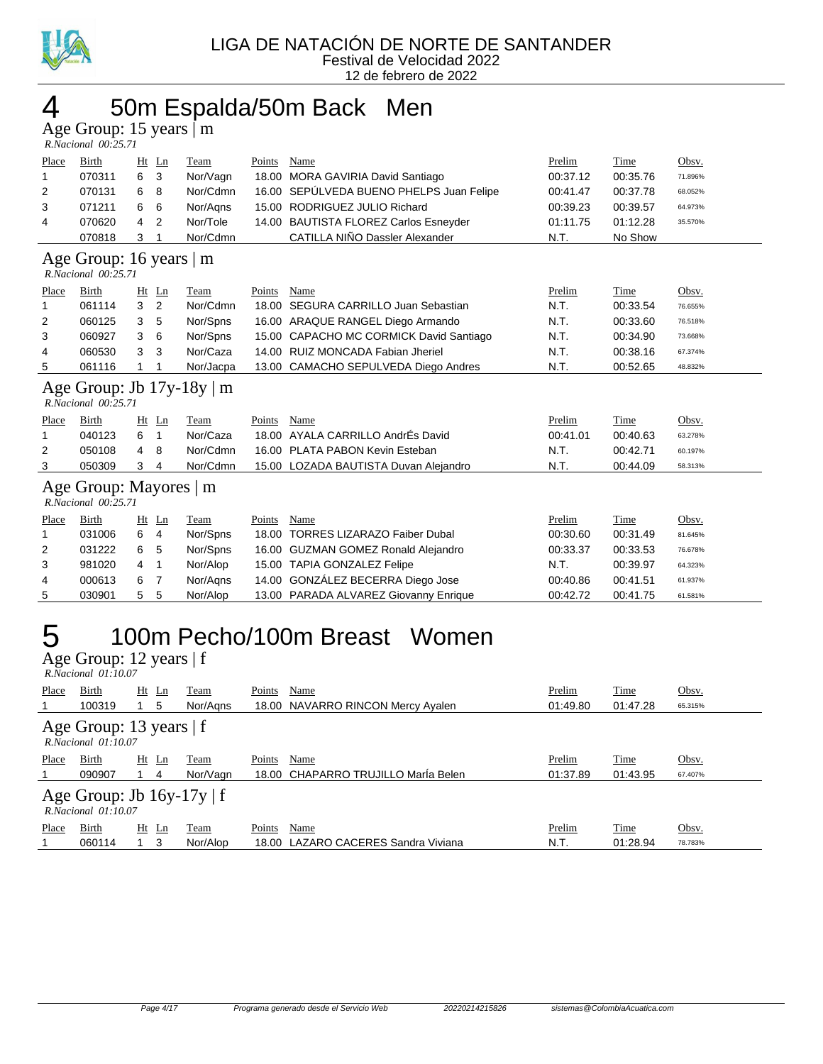

### 4 50m Espalda/50m Back Men

Age Group: 15 years | m

| $R. Nacional$ $00:25.71$                                   |                                             |    |                |           |        |                                          |          |             |         |
|------------------------------------------------------------|---------------------------------------------|----|----------------|-----------|--------|------------------------------------------|----------|-------------|---------|
| Place                                                      | Birth                                       |    | $Ht$ Ln        | Team      | Points | Name                                     | Prelim   | Time        | Obsv.   |
| 1                                                          | 070311                                      | 6  | 3              | Nor/Vagn  |        | 18.00 MORA GAVIRIA David Santiago        | 00:37.12 | 00:35.76    | 71.896% |
| 2                                                          | 070131                                      | 6  | 8              | Nor/Cdmn  |        | 16.00 SEPÚLVEDA BUENO PHELPS Juan Felipe | 00:41.47 | 00:37.78    | 68.052% |
| 3                                                          | 071211                                      | 6  | 6              | Nor/Agns  |        | 15.00 RODRIGUEZ JULIO Richard            | 00:39.23 | 00:39.57    | 64.973% |
| 4                                                          | 070620                                      | 4  | 2              | Nor/Tole  |        | 14.00 BAUTISTA FLOREZ Carlos Esneyder    | 01:11.75 | 01:12.28    | 35.570% |
|                                                            | 070818                                      | 3  | 1              | Nor/Cdmn  |        | CATILLA NIÑO Dassler Alexander           | N.T.     | No Show     |         |
| Age Group: 16 years   m<br>R.Nacional 00:25.71             |                                             |    |                |           |        |                                          |          |             |         |
| Place                                                      | <b>Birth</b>                                |    | $Ht$ Ln        | Team      | Points | Name                                     | Prelim   | Time        | Obsv.   |
| 1                                                          | 061114                                      | 3  | 2              | Nor/Cdmn  |        | 18.00 SEGURA CARRILLO Juan Sebastian     | N.T.     | 00:33.54    | 76.655% |
| 2                                                          | 060125                                      | 3  | 5              | Nor/Spns  |        | 16.00 ARAQUE RANGEL Diego Armando        | N.T.     | 00:33.60    | 76.518% |
| 3                                                          | 060927                                      | 3  | 6              | Nor/Spns  |        | 15.00 CAPACHO MC CORMICK David Santiago  | N.T.     | 00:34.90    | 73.668% |
| 4                                                          | 060530                                      | 3  | 3              | Nor/Caza  |        | 14.00 RUIZ MONCADA Fabian Jheriel        | N.T.     | 00:38.16    | 67.374% |
| 5                                                          | 061116                                      | 1  |                | Nor/Jacpa |        | 13.00 CAMACHO SEPULVEDA Diego Andres     | N.T.     | 00:52.65    | 48.832% |
| Age Group: Jb $17y-18y \mid m$<br>$R. Nacional$ $00:25.71$ |                                             |    |                |           |        |                                          |          |             |         |
| Place                                                      | Birth                                       | Ht | Ln             | Team      | Points | Name                                     | Prelim   | <b>Time</b> | Obsv.   |
| 1                                                          | 040123                                      | 6  | 1              | Nor/Caza  |        | 18.00 AYALA CARRILLO AndrÉs David        | 00:41.01 | 00:40.63    | 63.278% |
| 2                                                          | 050108                                      | 4  | 8              | Nor/Cdmn  |        | 16.00 PLATA PABON Kevin Esteban          | N.T.     | 00:42.71    | 60.197% |
| 3                                                          | 050309                                      | 3  | 4              | Nor/Cdmn  |        | 15.00 LOZADA BAUTISTA Duvan Alejandro    | N.T.     | 00:44.09    | 58.313% |
|                                                            | Age Group: Mayores  <br>R.Nacional 00:25.71 |    |                | m         |        |                                          |          |             |         |
| Place                                                      | Birth                                       | Ht | Ln             | Team      | Points | Name                                     | Prelim   | Time        | Obsv.   |
| 1                                                          | 031006                                      | 6  | $\overline{4}$ | Nor/Spns  |        | 18.00 TORRES LIZARAZO Faiber Dubal       | 00:30.60 | 00:31.49    | 81.645% |
| 2                                                          | 031222                                      | 6  | 5              | Nor/Spns  |        | 16.00 GUZMAN GOMEZ Ronald Alejandro      | 00:33.37 | 00:33.53    | 76.678% |
| 3                                                          | 981020                                      | 4  | $\mathbf{1}$   | Nor/Alop  |        | 15.00 TAPIA GONZALEZ Felipe              | N.T.     | 00:39.97    | 64.323% |
| 4                                                          | 000613                                      | 6  | $\overline{7}$ | Nor/Aqns  |        | 14.00 GONZÁLEZ BECERRA Diego Jose        | 00:40.86 | 00:41.51    | 61.937% |
| 5                                                          | 030901                                      | 5  | 5              | Nor/Alop  |        | 13.00 PARADA ALVAREZ Giovanny Enrique    | 00:42.72 | 00:41.75    | 61.581% |

# 5 100m Pecho/100m Breast Women

Age Group: 12 years | f  *R.Nacional 01:10.07* 

| Place        | Birth<br>100319                                           |         | $Ht$ Ln<br>5 | Team<br>Nor/Aans | Points | Name<br>18.00 NAVARRO RINCON Mercy Ayalen | Prelim<br>01:49.80 | Time<br>01:47.28 | Obsv.<br>65.315% |  |
|--------------|-----------------------------------------------------------|---------|--------------|------------------|--------|-------------------------------------------|--------------------|------------------|------------------|--|
|              | Age Group: 13 years $ f $<br>$R. Nacional$ $01:10.07$     |         |              |                  |        |                                           |                    |                  |                  |  |
| Place        | Birth                                                     |         | $Ht$ Ln      | Team             | Points | Name                                      | Prelim             | Time             | Obsv.            |  |
|              | 090907                                                    |         | 4            | Nor/Vagn         |        | 18.00 CHAPARRO TRUJILLO Maria Belen       | 01:37.89           | 01:43.95         | 67.407%          |  |
|              | Age Group: Jb $16y-17y \mid f$<br>$R$ Nacional $01:10.07$ |         |              |                  |        |                                           |                    |                  |                  |  |
| <b>Place</b> | <b>Birth</b>                                              | $Ht$ Ln |              | Team             | Points | Name                                      | Prelim             | Time             | Obsv.            |  |
|              | 060114                                                    |         | 3            | Nor/Alop         |        | 18.00 LAZARO CACERES Sandra Viviana       | N.T.               | 01:28.94         | 78.783%          |  |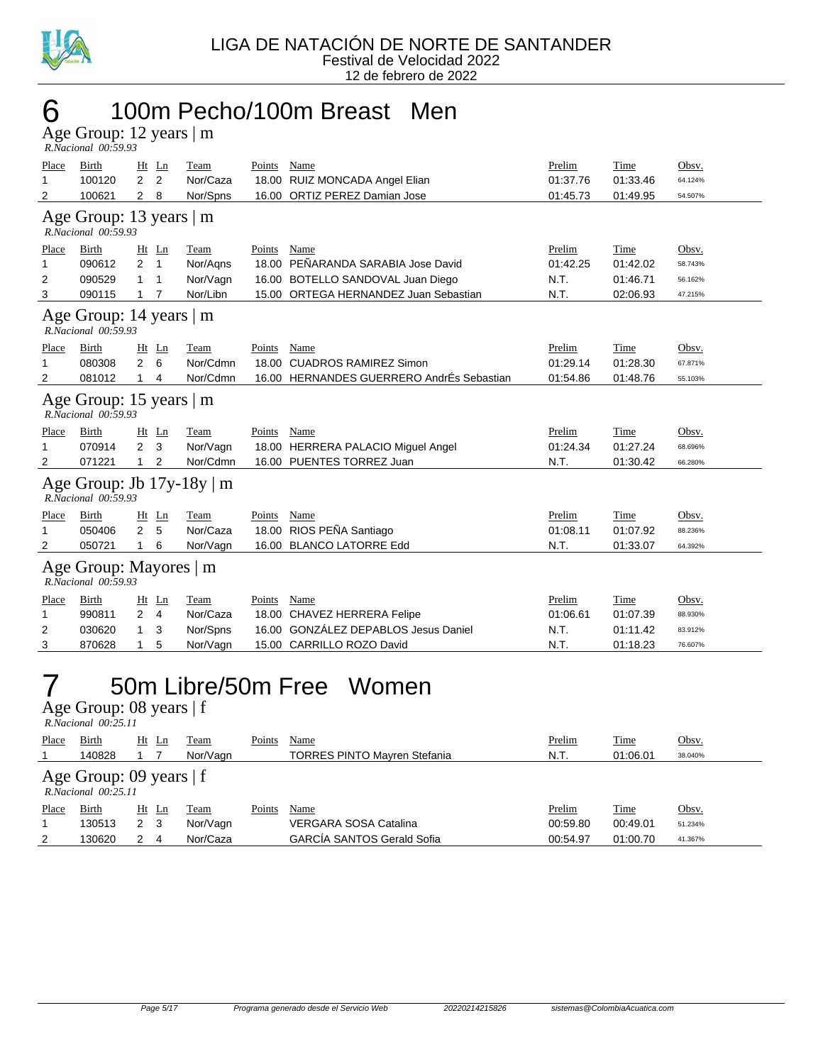

#### 6 100m Pecho/100m Breast Men

Age Group: 12 years | m  *R.Nacional 00:59.93* 

| Place<br>$\mathbf{1}$<br>2                            | Birth<br>100120<br>100621                        | $Ht$ Ln<br>$\overline{2}$<br>2<br>$\overline{2}$<br>8 | Team<br>Nor/Caza<br>Nor/Spns             | Points                          | Name<br>18.00 RUIZ MONCADA Angel Elian<br>16.00 ORTIZ PEREZ Damian Jose                                      | Prelim<br>01:37.76<br>01:45.73     | Time<br>01:33.46<br>01:49.95                    | Obsv.<br>64.124%<br>54.507%            |  |  |
|-------------------------------------------------------|--------------------------------------------------|-------------------------------------------------------|------------------------------------------|---------------------------------|--------------------------------------------------------------------------------------------------------------|------------------------------------|-------------------------------------------------|----------------------------------------|--|--|
|                                                       | Age Group: 13 years $ m $<br>R.Nacional 00:59.93 |                                                       |                                          |                                 |                                                                                                              |                                    |                                                 |                                        |  |  |
| Place<br>1<br>2<br>3                                  | <b>Birth</b><br>090612<br>090529<br>090115       | $Ht$ Ln<br>$\overline{2}$<br>1<br>1<br>1<br>7<br>1    | Team<br>Nor/Aqns<br>Nor/Vagn<br>Nor/Libn | <b>Points</b><br>18.00<br>16.00 | Name<br>PEÑARANDA SARABIA Jose David<br>BOTELLO SANDOVAL Juan Diego<br>15.00 ORTEGA HERNANDEZ Juan Sebastian | Prelim<br>01:42.25<br>N.T.<br>N.T. | <b>Time</b><br>01:42.02<br>01:46.71<br>02:06.93 | Obsv.<br>58.743%<br>56.162%<br>47.215% |  |  |
|                                                       | Age Group: 14 years   m<br>R.Nacional 00:59.93   |                                                       |                                          |                                 |                                                                                                              |                                    |                                                 |                                        |  |  |
| Place<br>1<br>2                                       | Birth<br>080308<br>081012                        | Ht Ln<br>$\overline{2}$<br>6<br>$\mathbf{1}$<br>4     | Team<br>Nor/Cdmn<br>Nor/Cdmn             | Points<br>18.00                 | Name<br><b>CUADROS RAMIREZ Simon</b><br>16.00 HERNANDES GUERRERO AndrÉs Sebastian                            | Prelim<br>01:29.14<br>01:54.86     | Time<br>01:28.30<br>01:48.76                    | Obsv.<br>67.871%<br>55.103%            |  |  |
| Age Group: 15 years $ m $<br>$R. Nacional$ $00:59.93$ |                                                  |                                                       |                                          |                                 |                                                                                                              |                                    |                                                 |                                        |  |  |
| Place<br>1<br>2                                       | Birth<br>070914<br>071221                        | $Ht$ Ln<br>2<br>3<br>2<br>1                           | Team<br>Nor/Vagn<br>Nor/Cdmn             | Points                          | Name<br>18.00 HERRERA PALACIO Miguel Angel<br>16.00 PUENTES TORREZ Juan                                      | Prelim<br>01:24.34<br>N.T.         | Time<br>01:27.24<br>01:30.42                    | Obsv.<br>68.696%<br>66.280%            |  |  |
|                                                       | R.Nacional 00:59.93                              |                                                       | Age Group: Jb $17y-18y \mid m$           |                                 |                                                                                                              |                                    |                                                 |                                        |  |  |
| Place<br>1<br>2                                       | Birth<br>050406<br>050721                        | $Ht$ Ln<br>$\overline{2}$<br>5<br>6<br>$\mathbf{1}$   | Team<br>Nor/Caza<br>Nor/Vagn             | Points<br>16.00                 | Name<br>18.00 RIOS PEÑA Santiago<br><b>BLANCO LATORRE Edd</b>                                                | Prelim<br>01:08.11<br>N.T.         | Time<br>01:07.92<br>01:33.07                    | Obsv.<br>88.236%<br>64.392%            |  |  |
|                                                       | Age Group: Mayores   m<br>R.Nacional 00:59.93    |                                                       |                                          |                                 |                                                                                                              |                                    |                                                 |                                        |  |  |
| Place<br>1<br>2                                       | Birth<br>990811<br>030620                        | $Ht$ Ln<br>$\overline{2}$<br>4<br>3<br>1              | Team<br>Nor/Caza<br>Nor/Spns             | Points<br>18.00<br>16.00        | Name<br><b>CHAVEZ HERRERA Felipe</b><br><b>GONZÁLEZ DEPABLOS Jesus Daniel</b>                                | Prelim<br>01:06.61<br>N.T.         | Time<br>01:07.39<br>01:11.42                    | Obsv.<br>88.930%<br>83.912%            |  |  |
| 3                                                     | 870628                                           | 5<br>1                                                | Nor/Vagn                                 |                                 | 15.00 CARRILLO ROZO David                                                                                    | N.T.                               | 01:18.23                                        | 76.607%                                |  |  |

#### 7 50m Libre/50m Free Women

Age Group: 08 years | f

|                                                     | R.Nacional 00:25.11 |    |     |          |        |                                     |          |             |         |  |  |
|-----------------------------------------------------|---------------------|----|-----|----------|--------|-------------------------------------|----------|-------------|---------|--|--|
| <b>Place</b>                                        | Birth               | Ht | Ln  | Team     | Points | Name                                | Prelim   | <u>Time</u> | Obsv.   |  |  |
|                                                     | 140828              |    |     | Nor/Vagn |        | <b>TORRES PINTO Mayren Stefania</b> | N.T.     | 01:06.01    | 38.040% |  |  |
| Age Group: 09 years $ f $<br>$R. Nacional$ 00:25.11 |                     |    |     |          |        |                                     |          |             |         |  |  |
| Place                                               | Birth               | Ht | Ln  | Team     | Points | Name                                | Prelim   | <u>Time</u> | Obsv.   |  |  |
|                                                     | 130513              | 2  | - 3 | Nor/Vagn |        | VERGARA SOSA Catalina               | 00:59.80 | 00:49.01    | 51.234% |  |  |
| 2                                                   | 130620              | 2  | 4   | Nor/Caza |        | <b>GARCÍA SANTOS Gerald Sofia</b>   | 00:54.97 | 01:00.70    | 41.367% |  |  |
|                                                     |                     |    |     |          |        |                                     |          |             |         |  |  |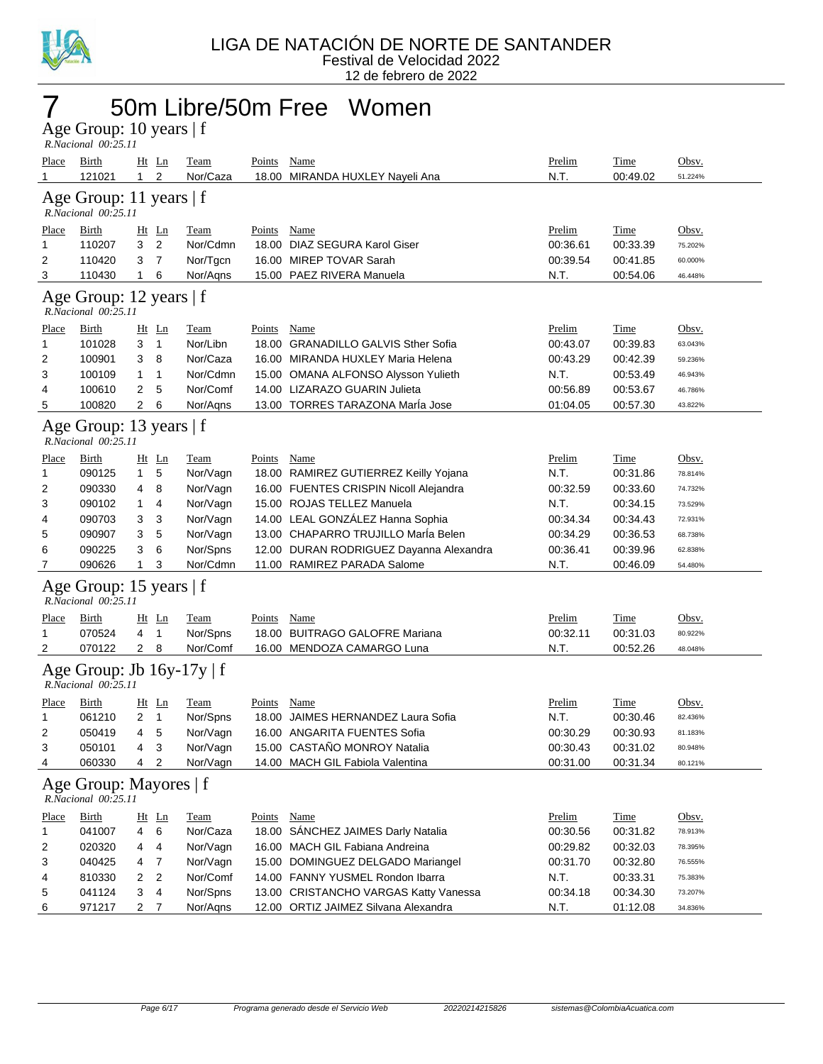

#### 7 50m Libre/50m Free Women

Age Group: 10 years | f  *R.Nacional 00:25.11* 

| <u>Place</u><br>1 | <b>Birth</b><br>121021                           | $Ht$ Ln<br>2<br>$\mathbf{1}$     | <b>Team</b><br>Nor/Caza        | <b>Points</b> | <b>Name</b><br>18.00 MIRANDA HUXLEY Nayeli Ana | Prelim<br>N.T. | <b>Time</b><br>00:49.02 | Obsv.<br>51.224% |
|-------------------|--------------------------------------------------|----------------------------------|--------------------------------|---------------|------------------------------------------------|----------------|-------------------------|------------------|
|                   | Age Group: 11 years $ f $<br>R.Nacional 00:25.11 |                                  |                                |               |                                                |                |                         |                  |
|                   |                                                  |                                  |                                |               |                                                |                |                         |                  |
| <u>Place</u>      | <b>Birth</b>                                     | $Ht$ Ln                          | <b>Team</b>                    | <b>Points</b> | <b>Name</b>                                    | Prelim         | <b>Time</b>             | Obsv.            |
| 1                 | 110207                                           | 3<br>2                           | Nor/Cdmn                       |               | 18.00 DIAZ SEGURA Karol Giser                  | 00:36.61       | 00:33.39                | 75.202%          |
| 2                 | 110420                                           | 3<br>$\overline{7}$              | Nor/Tgcn                       |               | 16.00 MIREP TOVAR Sarah                        | 00:39.54       | 00:41.85                | 60.000%          |
| 3                 | 110430                                           | $\mathbf{1}$<br>6                | Nor/Aqns                       |               | 15.00 PAEZ RIVERA Manuela                      | N.T.           | 00:54.06                | 46.448%          |
|                   | Age Group: 12 years   f<br>R.Nacional 00:25.11   |                                  |                                |               |                                                |                |                         |                  |
| Place             | <b>Birth</b>                                     | Ht Ln                            | <b>Team</b>                    | <b>Points</b> | <b>Name</b>                                    | Prelim         | <b>Time</b>             | Obsv.            |
| 1                 | 101028                                           | $\overline{1}$<br>3              | Nor/Libn                       |               | 18.00 GRANADILLO GALVIS Sther Sofia            | 00:43.07       | 00:39.83                | 63.043%          |
| 2                 | 100901                                           | 3<br>8                           | Nor/Caza                       |               | 16.00 MIRANDA HUXLEY Maria Helena              | 00:43.29       | 00:42.39                | 59.236%          |
| 3                 | 100109                                           | $\mathbf{1}$<br>$\mathbf{1}$     | Nor/Cdmn                       |               | 15.00 OMANA ALFONSO Alysson Yulieth            | N.T.           | 00:53.49                | 46.943%          |
| 4                 | 100610                                           | 5<br>2                           | Nor/Comf                       |               | 14.00 LIZARAZO GUARIN Julieta                  | 00:56.89       | 00:53.67                | 46.786%          |
| 5                 | 100820                                           | $\overline{2}$<br>6              | Nor/Aqns                       |               | 13.00 TORRES TARAZONA Maria Jose               | 01:04.05       | 00:57.30                | 43.822%          |
|                   | Age Group: 13 years   f<br>R.Nacional 00:25.11   |                                  |                                |               |                                                |                |                         |                  |
| Place             | <b>Birth</b>                                     | $Ht$ Ln                          | <b>Team</b>                    | <b>Points</b> | <b>Name</b>                                    | Prelim         | <b>Time</b>             | Obsv.            |
| 1                 | 090125                                           | 5<br>$\mathbf{1}$                | Nor/Vagn                       |               | 18.00 RAMIREZ GUTIERREZ Keilly Yojana          | N.T.           | 00:31.86                | 78.814%          |
| 2                 | 090330                                           | 8<br>4                           | Nor/Vagn                       |               | 16.00 FUENTES CRISPIN Nicoll Alejandra         | 00:32.59       | 00:33.60                | 74.732%          |
| 3                 | 090102                                           | $\mathbf{1}$<br>4                | Nor/Vagn                       |               | 15.00 ROJAS TELLEZ Manuela                     | N.T.           | 00:34.15                | 73.529%          |
| 4                 | 090703                                           | 3<br>3                           | Nor/Vagn                       |               | 14.00 LEAL GONZÁLEZ Hanna Sophia               | 00:34.34       | 00:34.43                | 72.931%          |
| 5                 | 090907                                           | 5<br>3                           | Nor/Vagn                       |               | 13.00 CHAPARRO TRUJILLO MarÍa Belen            | 00:34.29       | 00:36.53                | 68.738%          |
| 6                 | 090225                                           | 6<br>3                           | Nor/Spns                       |               | 12.00 DURAN RODRIGUEZ Dayanna Alexandra        | 00:36.41       | 00:39.96                | 62.838%          |
| 7                 | 090626                                           | $\mathbf{1}$<br>3                | Nor/Cdmn                       |               | 11.00 RAMIREZ PARADA Salome                    | N.T.           | 00:46.09                | 54.480%          |
|                   | Age Group: 15 years   f<br>R.Nacional 00:25.11   |                                  |                                |               |                                                |                |                         |                  |
| <u>Place</u>      | <b>Birth</b>                                     | Ht Ln                            | <b>Team</b>                    | <b>Points</b> | <b>Name</b>                                    | <b>Prelim</b>  | <b>Time</b>             | Obsv.            |
| 1                 | 070524                                           | 4<br>$\overline{1}$              | Nor/Spns                       |               | 18.00 BUITRAGO GALOFRE Mariana                 | 00:32.11       | 00:31.03                | 80.922%          |
| 2                 | 070122                                           | $2 \quad 8$                      | Nor/Comf                       |               | 16.00 MENDOZA CAMARGO Luna                     | N.T.           | 00:52.26                | 48.048%          |
|                   | R.Nacional 00:25.11                              |                                  | Age Group: Jb $16y-17y \mid f$ |               |                                                |                |                         |                  |
| Place             | Birth                                            | $Ht$ Ln                          | <b>Team</b>                    | <b>Points</b> | <b>Name</b>                                    | Prelim         | <b>Time</b>             | <u>Obsv.</u>     |
| 1                 | 061210                                           | 2<br>$\overline{1}$              | Nor/Spns                       |               | 18.00 JAIMES HERNANDEZ Laura Sofia             | N.T.           | 00:30.46                | 82.436%          |
| 2                 | 050419                                           | 5<br>4                           | Nor/Vagn                       |               | 16.00 ANGARITA FUENTES Sofia                   | 00:30.29       | 00:30.93                | 81.183%          |
| 3                 | 050101                                           | 3<br>4                           | Nor/Vagn                       |               | 15.00 CASTAÑO MONROY Natalia                   | 00:30.43       | 00:31.02                | 80.948%          |
| 4                 | 060330                                           | $\overline{2}$<br>4              | Nor/Vagn                       |               | 14.00 MACH GIL Fabiola Valentina               | 00:31.00       | 00:31.34                | 80.121%          |
|                   | Age Group: Mayores   f<br>R.Nacional 00:25.11    |                                  |                                |               |                                                |                |                         |                  |
| <b>Place</b>      | <b>Birth</b>                                     | Ht Ln                            | <b>Team</b>                    | <b>Points</b> | Name                                           | Prelim         | Time                    | Obsv.            |
| 1                 | 041007                                           | 6<br>4                           | Nor/Caza                       |               | 18.00 SÁNCHEZ JAIMES Darly Natalia             | 00:30.56       | 00:31.82                | 78.913%          |
| 2                 | 020320                                           | 4<br>4                           | Nor/Vagn                       |               | 16.00 MACH GIL Fabiana Andreina                | 00:29.82       | 00:32.03                | 78.395%          |
| 3                 | 040425                                           | $\overline{7}$<br>4              | Nor/Vagn                       |               | 15.00 DOMINGUEZ DELGADO Mariangel              | 00:31.70       | 00:32.80                | 76.555%          |
| 4                 | 810330                                           | $\overline{2}$<br>$\overline{2}$ | Nor/Comf                       |               | 14.00 FANNY YUSMEL Rondon Ibarra               | N.T.           | 00:33.31                | 75.383%          |
| 5                 | 041124                                           | $\overline{\mathbf{4}}$<br>3     | Nor/Spns                       |               | 13.00 CRISTANCHO VARGAS Katty Vanessa          | 00:34.18       | 00:34.30                | 73.207%          |
| 6                 | 971217                                           | $\overline{2}$<br>$\overline{7}$ | Nor/Aqns                       |               | 12.00 ORTIZ JAIMEZ Silvana Alexandra           | N.T.           | 01:12.08                | 34.836%          |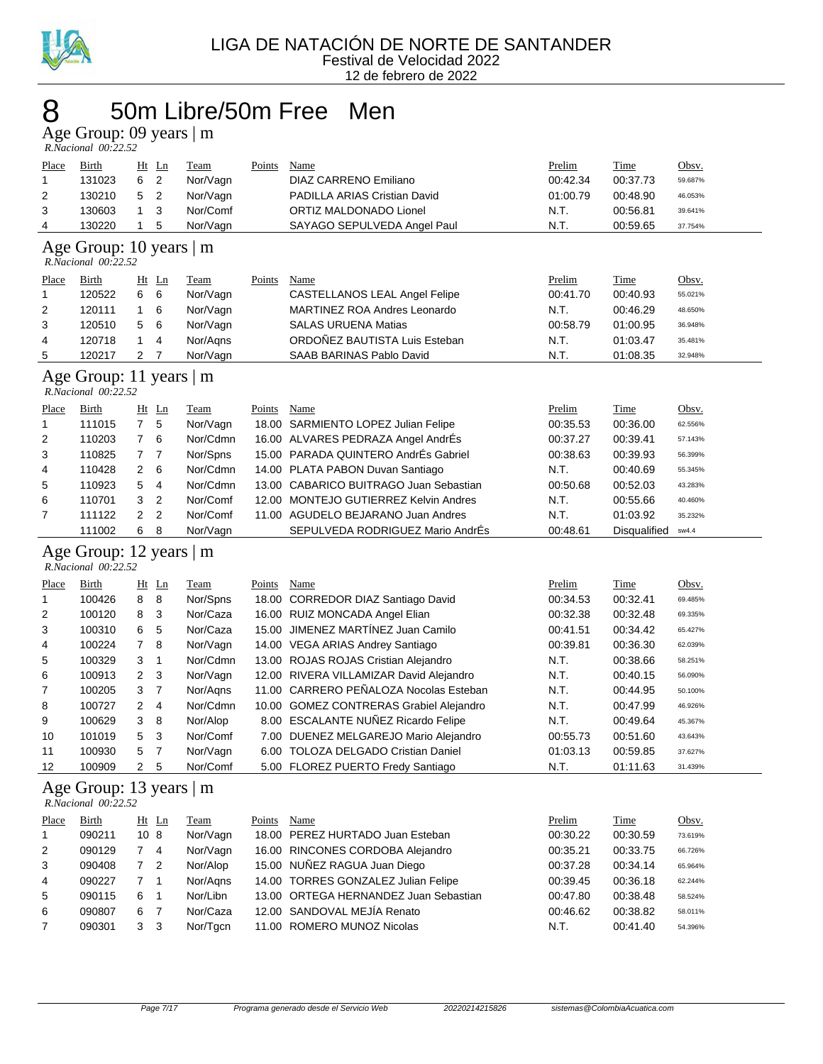

#### 50m Libre/50m Free Men

Age Group: 09 years | m

|       | R.Nacional 00:22.52                                  |                                  |             |        |                                         |          |              |         |
|-------|------------------------------------------------------|----------------------------------|-------------|--------|-----------------------------------------|----------|--------------|---------|
| Place | Birth                                                | $Ht$ Ln                          | Team        | Points | Name                                    | Prelim   | Time         | Obsv.   |
| 1     | 131023                                               | $\overline{2}$<br>6              | Nor/Vagn    |        | DIAZ CARRENO Emiliano                   | 00:42.34 | 00:37.73     | 59.687% |
| 2     | 130210                                               | 5<br>2                           | Nor/Vagn    |        | PADILLA ARIAS Cristian David            | 01:00.79 | 00:48.90     | 46.053% |
| 3     | 130603                                               | 3<br>1                           | Nor/Comf    |        | ORTIZ MALDONADO Lionel                  | N.T.     | 00:56.81     | 39.641% |
| 4     | 130220                                               | 5<br>1                           | Nor/Vagn    |        | SAYAGO SEPULVEDA Angel Paul             | N.T.     | 00:59.65     | 37.754% |
|       | Age Group: 10 years   m<br>R.Nacional 00:22.52       |                                  |             |        |                                         |          |              |         |
|       |                                                      |                                  |             |        |                                         |          |              |         |
| Place | Birth<br>120522                                      | $Ht$ Ln                          | Team        | Points | <b>Name</b>                             | Prelim   | <b>Time</b>  | Obsv.   |
| 1     |                                                      | 6<br>6                           | Nor/Vagn    |        | CASTELLANOS LEAL Angel Felipe           | 00:41.70 | 00:40.93     | 55.021% |
| 2     | 120111                                               | 6<br>1                           | Nor/Vagn    |        | <b>MARTINEZ ROA Andres Leonardo</b>     | N.T.     | 00:46.29     | 48.650% |
| 3     | 120510                                               | 6<br>5                           | Nor/Vagn    |        | <b>SALAS URUENA Matias</b>              | 00:58.79 | 01:00.95     | 36.948% |
| 4     | 120718                                               | $\mathbf{1}$<br>4                | Nor/Agns    |        | ORDOÑEZ BAUTISTA Luis Esteban           | N.T.     | 01:03.47     | 35.481% |
| 5     | 120217                                               | $\overline{2}$<br>$\overline{7}$ | Nor/Vagn    |        | SAAB BARINAS Pablo David                | N.T.     | 01:08.35     | 32.948% |
|       | Age Group: 11 years   m<br>R.Nacional 00:22.52       |                                  |             |        |                                         |          |              |         |
| Place | <b>Birth</b>                                         | $Ht$ Ln                          | Team        | Points | Name                                    | Prelim   | Time         | Obsv.   |
| 1     | 111015                                               | $\overline{7}$<br>5              | Nor/Vagn    |        | 18.00 SARMIENTO LOPEZ Julian Felipe     | 00:35.53 | 00:36.00     | 62.556% |
| 2     | 110203                                               | $\overline{7}$<br>6              | Nor/Cdmn    |        | 16.00 ALVARES PEDRAZA Angel AndrEs      | 00:37.27 | 00:39.41     | 57.143% |
| 3     | 110825                                               | $\overline{7}$<br>7              | Nor/Spns    |        | 15.00 PARADA QUINTERO AndrÉs Gabriel    | 00:38.63 | 00:39.93     | 56.399% |
| 4     | 110428                                               | 2<br>6                           | Nor/Cdmn    |        | 14.00 PLATA PABON Duvan Santiago        | N.T.     | 00:40.69     | 55.345% |
| 5     | 110923                                               | 5<br>4                           | Nor/Cdmn    |        | 13.00 CABARICO BUITRAGO Juan Sebastian  | 00:50.68 | 00:52.03     | 43.283% |
| 6     | 110701                                               | 3<br>$\overline{2}$              | Nor/Comf    |        | 12.00 MONTEJO GUTIERREZ Kelvin Andres   | N.T.     | 00:55.66     | 40.460% |
| 7     | 111122                                               | $\overline{2}$<br>$\overline{2}$ | Nor/Comf    |        | 11.00 AGUDELO BEJARANO Juan Andres      | N.T.     | 01:03.92     | 35.232% |
|       | 111002                                               | 6<br>8                           | Nor/Vagn    |        | SEPULVEDA RODRIGUEZ Mario AndrEs        | 00:48.61 | Disqualified | sw4.4   |
|       | Age Group: 12 years $\vert$ m<br>R.Nacional 00:22.52 |                                  |             |        |                                         |          |              |         |
| Place | Birth                                                | $Ht$ Ln                          | <b>Team</b> | Points | Name                                    | Prelim   | <b>Time</b>  | Obsv.   |
| 1     | 100426                                               | 8<br>8                           | Nor/Spns    |        | 18.00 CORREDOR DIAZ Santiago David      | 00:34.53 | 00:32.41     | 69.485% |
| 2     | 100120                                               | 3<br>8                           | Nor/Caza    |        | 16.00 RUIZ MONCADA Angel Elian          | 00:32.38 | 00:32.48     | 69.335% |
| 3     | 100310                                               | 5<br>6                           | Nor/Caza    |        | 15.00 JIMENEZ MARTÍNEZ Juan Camilo      | 00:41.51 | 00:34.42     | 65.427% |
| 4     | 100224                                               | 8<br>7                           | Nor/Vagn    |        | 14.00 VEGA ARIAS Andrey Santiago        | 00:39.81 | 00:36.30     | 62.039% |
| 5     | 100329                                               | 3<br>$\mathbf{1}$                | Nor/Cdmn    |        | 13.00 ROJAS ROJAS Cristian Alejandro    | N.T.     | 00:38.66     | 58.251% |
| 6     | 100913                                               | $\overline{2}$<br>3              | Nor/Vagn    |        | 12.00 RIVERA VILLAMIZAR David Alejandro | N.T.     | 00:40.15     | 56.090% |
| 7     | 100205                                               | $\overline{7}$<br>3              | Nor/Agns    |        | 11.00 CARRERO PEÑALOZA Nocolas Esteban  | N.T.     | 00:44.95     | 50.100% |
| 8     | 100727                                               | 2<br>4                           | Nor/Cdmn    |        | 10.00 GOMEZ CONTRERAS Grabiel Alejandro | N.T.     | 00:47.99     | 46.926% |
| 9     | 100629                                               | 3<br>8                           | Nor/Alop    |        | 8.00 ESCALANTE NUÑEZ Ricardo Felipe     | N.T.     | 00:49.64     | 45.367% |
|       |                                                      |                                  |             |        |                                         |          |              |         |
|       |                                                      |                                  |             |        |                                         |          |              |         |
| 10    | 101019                                               | 5<br>3                           | Nor/Comf    |        | 7.00 DUENEZ MELGAREJO Mario Alejandro   | 00:55.73 | 00:51.60     | 43.643% |
| 11    | 100930                                               | 5<br>7                           | Nor/Vagn    |        | 6.00 TOLOZA DELGADO Cristian Daniel     | 01:03.13 | 00:59.85     | 37.627% |
| 12    | 100909                                               | $\overline{2}$<br>5              | Nor/Comf    |        | 5.00 FLOREZ PUERTO Fredy Santiago       | N.T.     | 01:11.63     | 31.439% |
|       | Age Group: 13 years   m<br>R.Nacional 00:22.52       |                                  |             |        |                                         |          |              |         |
| Place | Birth                                                |                                  | <b>Team</b> | Points | Name                                    | Prelim   | <b>Time</b>  | Obsv.   |
| 1     | 090211                                               | $Ht$ Ln<br>10 <sub>8</sub>       | Nor/Vagn    |        | 18.00 PEREZ HURTADO Juan Esteban        | 00:30.22 | 00:30.59     | 73.619% |
| 2     | 090129                                               | 74                               | Nor/Vagn    |        | 16.00 RINCONES CORDOBA Alejandro        | 00:35.21 | 00:33.75     | 66.726% |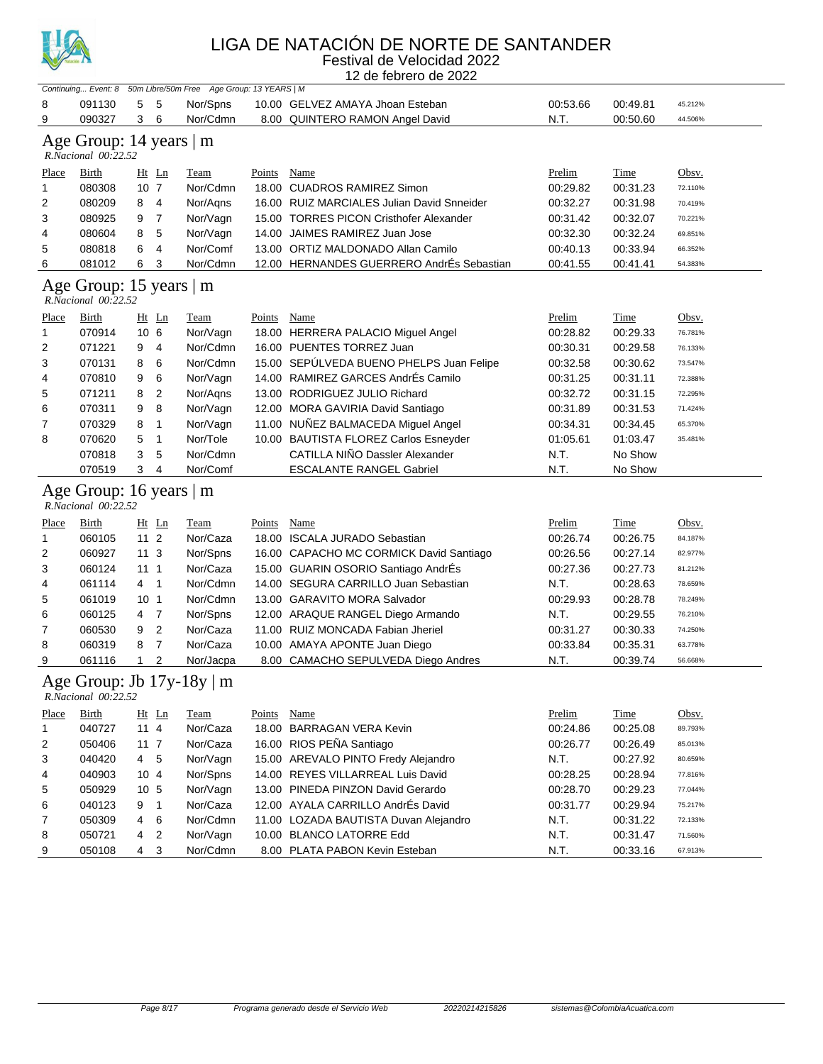

#### LIGA DE NATACIÓN DE NORTE DE SANTANDER

Festival de Velocidad 2022 12 de febrero de 2022

| Continuing Event: 8 50m Libre/50m Free Age Group: 13 YEARS   M |                                                |                                 |                                |               |                                            |               |             |         |  |  |  |
|----------------------------------------------------------------|------------------------------------------------|---------------------------------|--------------------------------|---------------|--------------------------------------------|---------------|-------------|---------|--|--|--|
| 8                                                              | 091130                                         | 5<br>-5                         | Nor/Spns                       |               | 10.00 GELVEZ AMAYA Jhoan Esteban           | 00:53.66      | 00:49.81    | 45.212% |  |  |  |
| 9                                                              | 090327                                         | 3<br>6                          | Nor/Cdmn                       |               | 8.00 QUINTERO RAMON Angel David            | N.T.          | 00:50.60    | 44.506% |  |  |  |
|                                                                | Age Group: 14 years   m<br>R.Nacional 00:22.52 |                                 |                                |               |                                            |               |             |         |  |  |  |
| Place                                                          | Birth                                          | Ht Ln                           | <b>Team</b>                    | Points        | Name                                       | Prelim        | <b>Time</b> | Obsv.   |  |  |  |
| 1                                                              | 080308                                         | 10 <sub>7</sub>                 | Nor/Cdmn                       |               | 18.00 CUADROS RAMIREZ Simon                | 00:29.82      | 00:31.23    | 72.110% |  |  |  |
| 2                                                              | 080209                                         | 8<br>$\overline{4}$             | Nor/Aqns                       |               | 16.00 RUIZ MARCIALES Julian David Snneider | 00:32.27      | 00:31.98    | 70.419% |  |  |  |
| 3                                                              | 080925                                         | $\overline{7}$<br>9             | Nor/Vagn                       |               | 15.00 TORRES PICON Cristhofer Alexander    | 00:31.42      | 00:32.07    | 70.221% |  |  |  |
| 4                                                              | 080604                                         | 5<br>8                          | Nor/Vagn                       |               | 14.00 JAIMES RAMIREZ Juan Jose             | 00:32.30      | 00:32.24    | 69.851% |  |  |  |
| 5                                                              | 080818                                         | 6<br>$\overline{4}$             | Nor/Comf                       |               | 13.00 ORTIZ MALDONADO Allan Camilo         | 00:40.13      | 00:33.94    | 66.352% |  |  |  |
| 6                                                              | 081012                                         | 6<br>3                          | Nor/Cdmn                       |               | 12.00 HERNANDES GUERRERO AndrÉs Sebastian  | 00:41.55      | 00:41.41    | 54.383% |  |  |  |
|                                                                | Age Group: 15 years   m<br>R.Nacional 00:22.52 |                                 |                                |               |                                            |               |             |         |  |  |  |
| <u>Place</u>                                                   | <b>Birth</b>                                   | $Ht$ Ln                         | <b>Team</b>                    | <b>Points</b> | <b>Name</b>                                | <b>Prelim</b> | Time        | Obsv.   |  |  |  |
| 1                                                              | 070914                                         | 10 <sub>6</sub>                 | Nor/Vagn                       |               | 18.00 HERRERA PALACIO Miguel Angel         | 00:28.82      | 00:29.33    | 76.781% |  |  |  |
| 2                                                              | 071221                                         | 9<br>$\overline{4}$             | Nor/Cdmn                       |               | 16.00 PUENTES TORREZ Juan                  | 00:30.31      | 00:29.58    | 76.133% |  |  |  |
| 3                                                              | 070131                                         | 6<br>8                          | Nor/Cdmn                       |               | 15.00 SEPÚLVEDA BUENO PHELPS Juan Felipe   | 00:32.58      | 00:30.62    | 73.547% |  |  |  |
| 4                                                              | 070810                                         | 6<br>9                          | Nor/Vagn                       |               | 14.00 RAMIREZ GARCES AndrÉs Camilo         | 00:31.25      | 00:31.11    | 72.388% |  |  |  |
| 5                                                              | 071211                                         | $\overline{c}$<br>8             | Nor/Aqns                       |               | 13.00 RODRIGUEZ JULIO Richard              | 00:32.72      | 00:31.15    | 72.295% |  |  |  |
| 6                                                              | 070311                                         | 8<br>9                          | Nor/Vagn                       |               | 12.00 MORA GAVIRIA David Santiago          | 00:31.89      | 00:31.53    | 71.424% |  |  |  |
| 7                                                              | 070329                                         | 1<br>8                          | Nor/Vagn                       |               | 11.00 NUÑEZ BALMACEDA Miguel Angel         | 00:34.31      | 00:34.45    | 65.370% |  |  |  |
| 8                                                              | 070620                                         | 5<br>$\overline{1}$             | Nor/Tole                       |               | 10.00 BAUTISTA FLOREZ Carlos Esneyder      | 01:05.61      | 01:03.47    | 35.481% |  |  |  |
|                                                                | 070818                                         | 3<br>5                          | Nor/Cdmn                       |               | CATILLA NIÑO Dassler Alexander             | N.T.          | No Show     |         |  |  |  |
|                                                                | 070519                                         | 3<br>4                          | Nor/Comf                       |               | <b>ESCALANTE RANGEL Gabriel</b>            | N.T.          | No Show     |         |  |  |  |
|                                                                | Age Group: 16 years   m<br>R.Nacional 00:22.52 |                                 |                                |               |                                            |               |             |         |  |  |  |
| Place                                                          | <b>Birth</b>                                   | Ht Ln                           | <b>Team</b>                    | <b>Points</b> | <b>Name</b>                                | Prelim        | <b>Time</b> | Obsv.   |  |  |  |
| 1                                                              | 060105                                         | 11 <sub>2</sub>                 | Nor/Caza                       |               | 18.00 ISCALA JURADO Sebastian              | 00:26.74      | 00:26.75    | 84.187% |  |  |  |
| 2                                                              | 060927                                         | 11 <sub>3</sub>                 | Nor/Spns                       |               | 16.00 CAPACHO MC CORMICK David Santiago    | 00:26.56      | 00:27.14    | 82.977% |  |  |  |
| 3                                                              | 060124                                         | 111                             | Nor/Caza                       |               | 15.00 GUARIN OSORIO Santiago AndrÉs        | 00:27.36      | 00:27.73    | 81.212% |  |  |  |
| 4                                                              | 061114                                         | $4 \quad 1$                     | Nor/Cdmn                       |               | 14.00 SEGURA CARRILLO Juan Sebastian       | N.T.          | 00:28.63    | 78.659% |  |  |  |
| 5                                                              | 061019                                         | 10 <sub>1</sub>                 | Nor/Cdmn                       |               | 13.00 GARAVITO MORA Salvador               | 00:29.93      | 00:28.78    | 78.249% |  |  |  |
| 6                                                              | 060125                                         | $\overline{7}$<br>4             | Nor/Spns                       |               | 12.00 ARAQUE RANGEL Diego Armando          | N.T.          | 00:29.55    | 76.210% |  |  |  |
| 7                                                              | 060530                                         | $\overline{c}$<br>9             | Nor/Caza                       |               | 11.00 RUIZ MONCADA Fabian Jheriel          | 00:31.27      | 00:30.33    | 74.250% |  |  |  |
| 8                                                              | 060319                                         | 8<br>$\overline{7}$             | Nor/Caza                       |               | 10.00 AMAYA APONTE Juan Diego              | 00:33.84      | 00:35.31    | 63.778% |  |  |  |
| 9                                                              | 061116                                         | 2<br>1                          | Nor/Jacpa                      |               | 8.00 CAMACHO SEPULVEDA Diego Andres        | N.T.          | 00:39.74    | 56.668% |  |  |  |
|                                                                | R.Nacional 00:22.52                            |                                 | Age Group: Jb $17y-18y \mid m$ |               |                                            |               |             |         |  |  |  |
| <b>Place</b>                                                   | <b>Birth</b>                                   | Ht Ln                           | <b>Team</b>                    | Points Name   |                                            | Prelim        | Time        | Obsv.   |  |  |  |
| 1                                                              | 040727                                         | 114                             | Nor/Caza                       |               | 18.00 BARRAGAN VERA Kevin                  | 00:24.86      | 00:25.08    | 89.793% |  |  |  |
| 2                                                              | 050406                                         | 117                             | Nor/Caza                       |               | 16.00 RIOS PEÑA Santiago                   | 00:26.77      | 00:26.49    | 85.013% |  |  |  |
| 3                                                              | 040420                                         | $4\quad 5$                      | Nor/Vagn                       |               | 15.00 AREVALO PINTO Fredy Alejandro        | N.T.          | 00:27.92    | 80.659% |  |  |  |
| 4                                                              | 040903                                         | 10 4                            | Nor/Spns                       |               | 14.00 REYES VILLARREAL Luis David          | 00:28.25      | 00:28.94    | 77.816% |  |  |  |
| 5                                                              | 050929                                         | 10 <sub>5</sub>                 | Nor/Vagn                       |               | 13.00 PINEDA PINZON David Gerardo          | 00:28.70      | 00:29.23    | 77.044% |  |  |  |
| 6                                                              | 040123                                         | $\overline{\phantom{0}}$ 1<br>9 | Nor/Caza                       |               | 12.00 AYALA CARRILLO AndrÉs David          | 00:31.77      | 00:29.94    | 75.217% |  |  |  |
| 7                                                              | 050309                                         | 6<br>4                          | Nor/Cdmn                       |               | 11.00 LOZADA BAUTISTA Duvan Alejandro      | N.T.          | 00:31.22    | 72.133% |  |  |  |
| 8                                                              | 050721                                         | 4 <sub>2</sub>                  | Nor/Vagn                       |               | 10.00 BLANCO LATORRE Edd                   | N.T.          | 00:31.47    | 71.560% |  |  |  |
| 9                                                              | 050108                                         | $4 \quad 3$                     | Nor/Cdmn                       |               | 8.00 PLATA PABON Kevin Esteban             | N.T.          | 00:33.16    | 67.913% |  |  |  |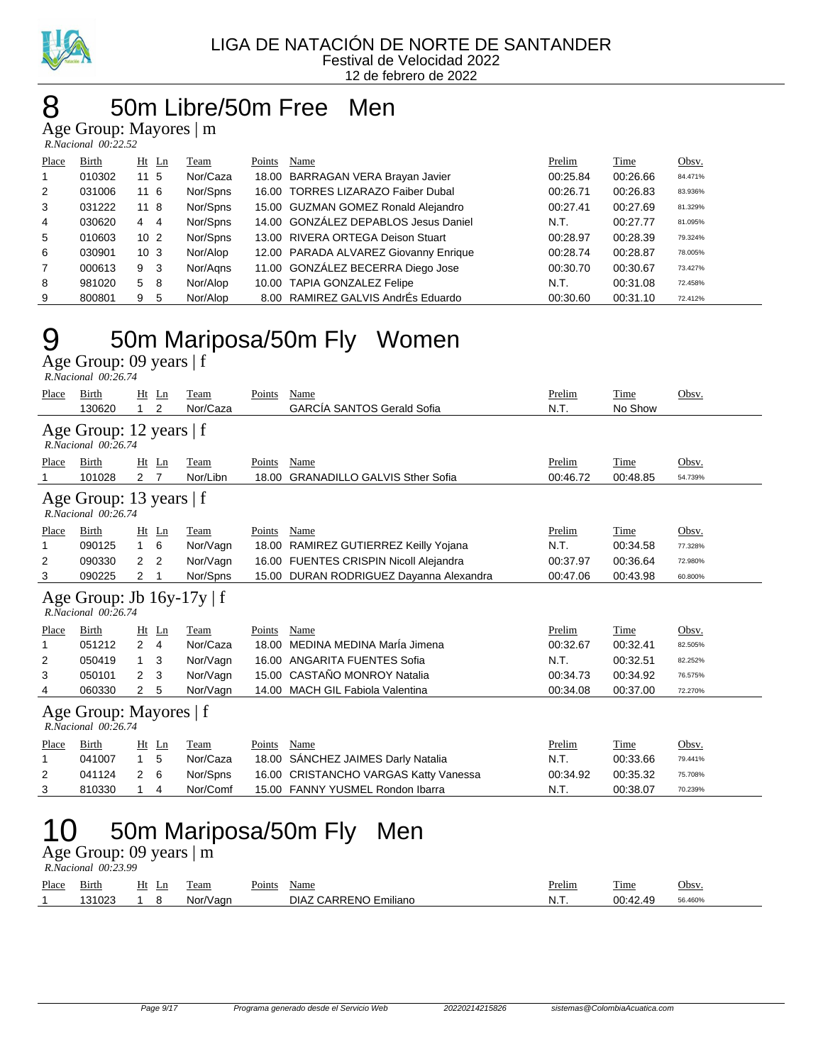

#### LIGA DE NATACIÓN DE NORTE DE SANTANDER Festival de Velocidad 2022 12 de febrero de 2022

#### 8 50m Libre/50m Free Men

Age Group: Mayores | m

|                | $R. Nacional$ 00:22.52 |                 |         |          |        |                                       |          |             |         |  |  |  |  |
|----------------|------------------------|-----------------|---------|----------|--------|---------------------------------------|----------|-------------|---------|--|--|--|--|
| Place          | Birth                  |                 | $Ht$ Ln | Team     | Points | Name                                  | Prelim   | <b>Time</b> | Obsv.   |  |  |  |  |
| 1              | 010302                 | $11 \;\; 5$     |         | Nor/Caza |        | 18.00 BARRAGAN VERA Brayan Javier     | 00:25.84 | 00:26.66    | 84.471% |  |  |  |  |
| 2              | 031006                 | 116             |         | Nor/Spns |        | 16.00 TORRES LIZARAZO Faiber Dubal    | 00:26.71 | 00:26.83    | 83.936% |  |  |  |  |
| 3              | 031222                 | 11 8            |         | Nor/Spns |        | 15.00 GUZMAN GOMEZ Ronald Alejandro   | 00:27.41 | 00:27.69    | 81.329% |  |  |  |  |
| 4              | 030620                 | $4 \quad 4$     |         | Nor/Spns |        | 14.00 GONZÁLEZ DEPABLOS Jesus Daniel  | N.T.     | 00:27.77    | 81.095% |  |  |  |  |
| 5              | 010603                 | 10 <sub>2</sub> |         | Nor/Spns |        | 13.00 RIVERA ORTEGA Deison Stuart     | 00:28.97 | 00:28.39    | 79.324% |  |  |  |  |
| 6              | 030901                 | 10 <sub>3</sub> |         | Nor/Alop |        | 12.00 PARADA ALVAREZ Giovanny Enrique | 00:28.74 | 00:28.87    | 78.005% |  |  |  |  |
| $\overline{7}$ | 000613                 | 9               | -3      | Nor/Agns |        | 11.00 GONZÁLEZ BECERRA Diego Jose     | 00:30.70 | 00:30.67    | 73.427% |  |  |  |  |
| 8              | 981020                 | 5               | - 8     | Nor/Alop |        | 10.00 TAPIA GONZALEZ Felipe           | N.T.     | 00:31.08    | 72.458% |  |  |  |  |
| 9              | 800801                 | 9               | 5       | Nor/Alop |        | 8.00 RAMIREZ GALVIS AndrEs Eduardo    | 00:30.60 | 00:31.10    | 72.412% |  |  |  |  |

#### 9 50m Mariposa/50m Fly Women Age Group: 09 years | f

 *R.Nacional 00:26.74* 

| Place | Birth<br>130620                                       | Ht Ln<br>$\mathbf{1}$ | 2              | Team<br>Nor/Caza | Points | Name<br><b>GARCÍA SANTOS Gerald Sofia</b> | Prelim<br>N.T. | Time<br>No Show | Obsv.   |
|-------|-------------------------------------------------------|-----------------------|----------------|------------------|--------|-------------------------------------------|----------------|-----------------|---------|
|       | Age Group: 12 years   f<br>R.Nacional 00:26.74        |                       |                |                  |        |                                           |                |                 |         |
| Place | Birth                                                 | Ht Ln                 |                | Team             | Points | Name                                      | Prelim         | Time            | Obsv.   |
|       | 101028                                                | $\mathbf{2}$          | $\overline{7}$ | Nor/Libn         | 18.00  | <b>GRANADILLO GALVIS Sther Sofia</b>      | 00:46.72       | 00:48.85        | 54.739% |
|       | Age Group: 13 years $ f $<br>$R. Nacional$ 00:26.74   |                       |                |                  |        |                                           |                |                 |         |
| Place | Birth                                                 | Ht Ln                 |                | Team             | Points | Name                                      | Prelim         | Time            | Obsv.   |
|       | 090125                                                | $\mathbf{1}$          | 6              | Nor/Vagn         |        | 18.00 RAMIREZ GUTIERREZ Keilly Yojana     | N.T.           | 00:34.58        | 77.328% |
| 2     | 090330                                                | 2                     | 2              | Nor/Vagn         |        | 16.00 FUENTES CRISPIN Nicoll Alejandra    | 00:37.97       | 00:36.64        | 72.980% |
| 3     | 090225                                                | 2                     | 1              | Nor/Spns         |        | 15.00 DURAN RODRIGUEZ Dayanna Alexandra   | 00:47.06       | 00:43.98        | 60.800% |
|       | Age Group: Jb $16y-17y \mid f$<br>R.Nacional 00:26.74 |                       |                |                  |        |                                           |                |                 |         |
| Place | Birth                                                 | $Ht$ Ln               |                | Team             | Points | Name                                      | Prelim         | Time            | Obsv.   |
|       | 051212                                                | $\overline{4}$<br>2   |                | Nor/Caza         | 18.00  | MEDINA MEDINA MarÍa Jimena                | 00:32.67       | 00:32.41        | 82.505% |
| 2     | 050419                                                | $\mathbf{1}$          | 3              | Nor/Vagn         | 16.00  | ANGARITA FUENTES Sofia                    | N.T.           | 00:32.51        | 82.252% |
| 3     | 050101                                                | 2                     | 3              | Nor/Vagn         | 15.00  | CASTAÑO MONROY Natalia                    | 00:34.73       | 00:34.92        | 76.575% |
| 4     | 060330                                                | $\mathbf{2}$          | 5              | Nor/Vagn         |        | 14.00 MACH GIL Fabiola Valentina          | 00:34.08       | 00:37.00        | 72.270% |
|       | Age Group: Mayores   f<br>R.Nacional 00:26.74         |                       |                |                  |        |                                           |                |                 |         |
| Place | Birth                                                 | Ht                    | Ln             | Team             | Points | Name                                      | Prelim         | Time            | Obsv.   |
| 1     | 041007                                                | $\mathbf{1}$          | 5              | Nor/Caza         | 18.00  | SANCHEZ JAIMES Darly Natalia              | N.T.           | 00:33.66        | 79.441% |
| 2     | 041124                                                | 2                     | 6              | Nor/Spns         | 16.00  | <b>CRISTANCHO VARGAS Katty Vanessa</b>    | 00:34.92       | 00:35.32        | 75.708% |
| 3     | 810330                                                | 1                     | 4              | Nor/Comf         |        | 15.00 FANNY YUSMEL Rondon Ibarra          | N.T.           | 00:38.07        | 70.239% |
|       |                                                       |                       |                |                  |        | 50m Mariposa/50m Fly<br>Men               |                |                 |         |

#### Age Group: 09 years | m

 *R.Nacional 00:23.99* 

| Place | - -<br>Birth      | Ht<br>Ln | l eam       | Points | Name                    | Prelim | $\sim$<br>1 ime           | Obsv   |
|-------|-------------------|----------|-------------|--------|-------------------------|--------|---------------------------|--------|
|       | 3000<br>ີລາ<br>uz |          | /aɑr<br>Nor |        | -NC<br>DIAZ<br>-miliano | IN.I.  | 00.42<br>AC<br>υu.<br>- 2 | 6.460% |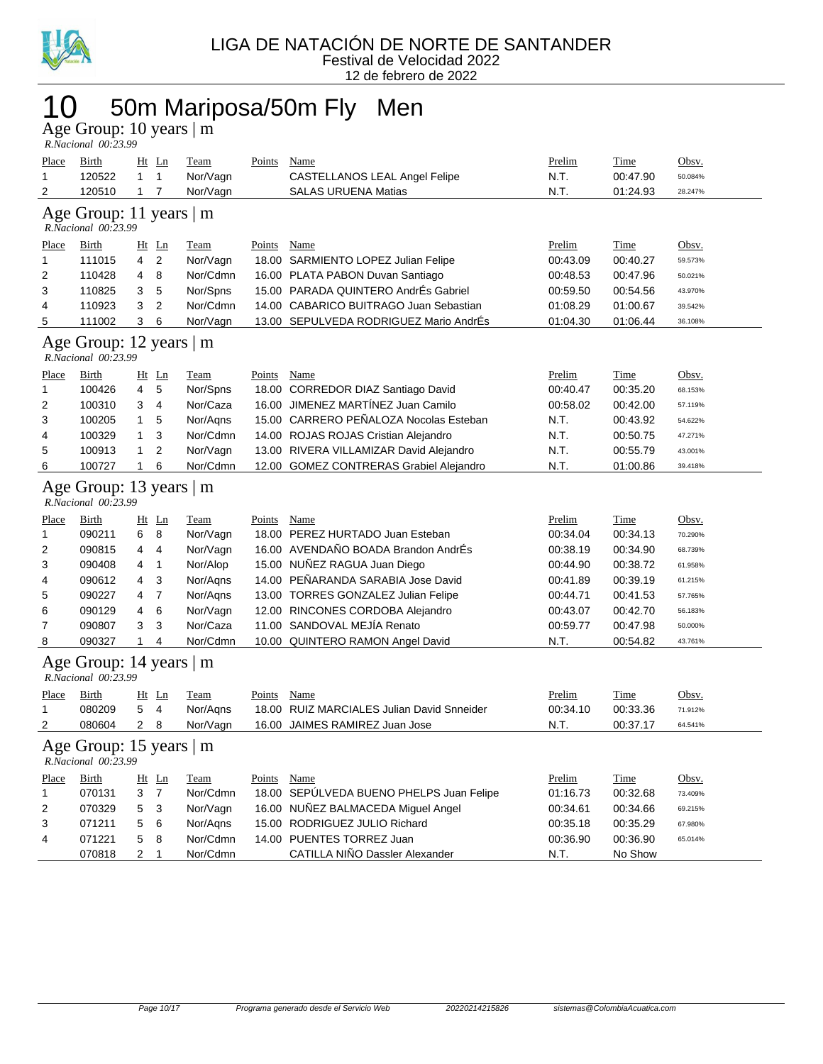

### 10 50m Mariposa/50m Fly Men

Age Group: 10 years | m  *R.Nacional 00:23.99* 

| Place<br>1   | <u>Birth</u><br>120522                          | $\mathbf{1}$   | $Ht$ Ln<br>$\mathbf{1}$ | <b>Team</b><br>Nor/Vagn | <b>Points</b> | <b>Name</b><br>CASTELLANOS LEAL Angel Felipe | Prelim<br>N.T. | <b>Time</b><br>00:47.90 | Obsv.<br>50.084% |
|--------------|-------------------------------------------------|----------------|-------------------------|-------------------------|---------------|----------------------------------------------|----------------|-------------------------|------------------|
| 2            | 120510                                          | $\mathbf 1$    | 7                       | Nor/Vagn                |               | <b>SALAS URUENA Matias</b>                   | N.T.           | 01:24.93                | 28.247%          |
|              | Age Group: 11 years   m<br>R.Nacional 00:23.99  |                |                         |                         |               |                                              |                |                         |                  |
| <u>Place</u> | Birth                                           |                | $Ht$ Ln                 | <b>Team</b>             | Points        | Name                                         | Prelim         | <b>Time</b>             | Obsv.            |
| 1            | 111015                                          | 4              | $\overline{c}$          | Nor/Vagn                |               | 18.00 SARMIENTO LOPEZ Julian Felipe          | 00:43.09       | 00:40.27                | 59.573%          |
| 2            | 110428                                          | 4              | 8                       | Nor/Cdmn                |               | 16.00 PLATA PABON Duvan Santiago             | 00:48.53       | 00:47.96                | 50.021%          |
| 3            | 110825                                          | 3              | 5                       | Nor/Spns                |               | 15.00 PARADA QUINTERO AndrÉs Gabriel         | 00:59.50       | 00:54.56                | 43.970%          |
| 4            | 110923                                          | 3              | $\overline{2}$          | Nor/Cdmn                |               | 14.00 CABARICO BUITRAGO Juan Sebastian       | 01:08.29       | 01:00.67                | 39.542%          |
| 5            | 111002                                          | 3              | 6                       | Nor/Vagn                |               | 13.00 SEPULVEDA RODRIGUEZ Mario AndrÉs       | 01:04.30       | 01:06.44                | 36.108%          |
|              | Age Group: 12 years   m<br>R.Nacional 00:23.99  |                |                         |                         |               |                                              |                |                         |                  |
| <u>Place</u> | Birth                                           |                | Ht Ln                   | <b>Team</b>             | Points        | Name                                         | Prelim         | <b>Time</b>             | Obsv.            |
| 1            | 100426                                          | 4              | 5                       | Nor/Spns                |               | 18.00 CORREDOR DIAZ Santiago David           | 00:40.47       | 00:35.20                | 68.153%          |
| 2            | 100310                                          | 3              | 4                       | Nor/Caza                | 16.00         | JIMENEZ MARTÍNEZ Juan Camilo                 | 00:58.02       | 00:42.00                | 57.119%          |
| 3            | 100205                                          | $\mathbf{1}$   | 5                       | Nor/Aqns                |               | 15.00 CARRERO PEÑALOZA Nocolas Esteban       | N.T.           | 00:43.92                | 54.622%          |
| 4            | 100329                                          | 1              | 3                       | Nor/Cdmn                |               | 14.00 ROJAS ROJAS Cristian Alejandro         | N.T.           | 00:50.75                | 47.271%          |
| 5            | 100913                                          | $\mathbf{1}$   | $\overline{2}$          | Nor/Vagn                |               | 13.00 RIVERA VILLAMIZAR David Alejandro      | N.T.           | 00:55.79                | 43.001%          |
| 6            | 100727                                          | 1              | 6                       | Nor/Cdmn                |               | 12.00 GOMEZ CONTRERAS Grabiel Alejandro      | N.T.           | 01:00.86                | 39.418%          |
|              | Age Group: 13 years   m<br>R.Nacional 00:23.99  |                |                         |                         |               |                                              |                |                         |                  |
| <u>Place</u> | Birth                                           |                | Ht Ln                   | <b>Team</b>             | Points        | Name                                         | Prelim         | <b>Time</b>             | Obsv.            |
| 1            | 090211                                          | 6              | 8                       | Nor/Vagn                |               | 18.00 PEREZ HURTADO Juan Esteban             | 00:34.04       | 00:34.13                | 70.290%          |
| 2            | 090815                                          | 4              | 4                       | Nor/Vagn                |               | 16.00 AVENDAÑO BOADA Brandon AndrÉs          | 00:38.19       | 00:34.90                | 68.739%          |
| 3            | 090408                                          | 4              | 1                       | Nor/Alop                |               | 15.00 NUÑEZ RAGUA Juan Diego                 | 00:44.90       | 00:38.72                | 61.958%          |
| 4            | 090612                                          | 4              | 3                       | Nor/Aqns                |               | 14.00 PEÑARANDA SARABIA Jose David           | 00:41.89       | 00:39.19                | 61.215%          |
| 5            | 090227                                          | 4              | 7                       | Nor/Aqns                |               | 13.00 TORRES GONZALEZ Julian Felipe          | 00:44.71       | 00:41.53                | 57.765%          |
| 6            | 090129                                          | 4              | 6                       | Nor/Vagn                |               | 12.00 RINCONES CORDOBA Alejandro             | 00:43.07       | 00:42.70                | 56.183%          |
| 7            | 090807                                          | 3              | 3                       | Nor/Caza                |               | 11.00 SANDOVAL MEJÍA Renato                  | 00:59.77       | 00:47.98                | 50.000%          |
| 8            | 090327                                          | 1              | 4                       | Nor/Cdmn                |               | 10.00 QUINTERO RAMON Angel David             | N.T.           | 00:54.82                | 43.761%          |
|              | Age Group: 14 years $ m$<br>R.Nacional 00:23.99 |                |                         |                         |               |                                              |                |                         |                  |
| Place        | <b>Birth</b>                                    |                | $Ht$ Ln                 | Team                    | Points        | Name                                         | Prelim         | Time                    | Obsv.            |
| 1            | 080209                                          | 5              | $\overline{\mathbf{4}}$ | Nor/Aqns                |               | 18.00 RUIZ MARCIALES Julian David Snneider   | 00:34.10       | 00:33.36                | 71.912%          |
| 2            | 080604                                          | $\overline{2}$ | 8                       | Nor/Vagn                |               | 16.00 JAIMES RAMIREZ Juan Jose               | N.T.           | 00:37.17                | 64.541%          |
|              | Age Group: 15 years   m<br>R.Nacional 00:23.99  |                |                         |                         |               |                                              |                |                         |                  |
| Place        | <b>Birth</b>                                    |                | $Ht$ Ln                 | Team                    | Points        | Name                                         | Prelim         | Time                    | Obsv.            |
| 1            | 070131                                          | 3              | $\overline{7}$          | Nor/Cdmn                |               | 18.00 SEPULVEDA BUENO PHELPS Juan Felipe     | 01:16.73       | 00:32.68                | 73.409%          |
| 2            | 070329                                          | 5              | 3                       | Nor/Vagn                |               | 16.00 NUNEZ BALMACEDA Miguel Angel           | 00:34.61       | 00:34.66                | 69.215%          |
| 3            | 071211                                          | 5              | 6                       | Nor/Agns                |               | 15.00 RODRIGUEZ JULIO Richard                | 00:35.18       | 00:35.29                | 67.980%          |
| 4            | 071221                                          | 5              | 8                       | Nor/Cdmn                |               | 14.00 PUENTES TORREZ Juan                    | 00:36.90       | 00:36.90                | 65.014%          |
|              | 070818                                          | $2 \quad 1$    |                         | Nor/Cdmn                |               | CATILLA NIÑO Dassler Alexander               | N.T.           | No Show                 |                  |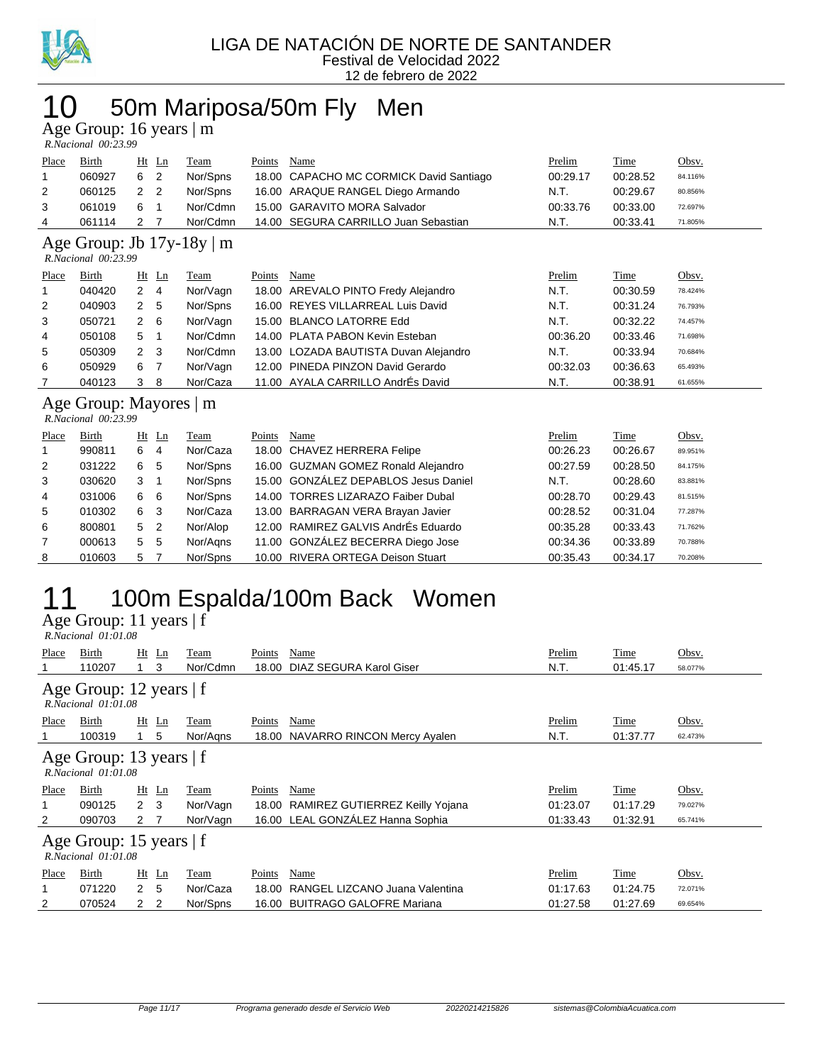

### 10 50m Mariposa/50m Fly Men

Age Group: 16 years | m

|       | R.Nacional 00:23.99 |     |       |          |        |                                         |          |             |         |
|-------|---------------------|-----|-------|----------|--------|-----------------------------------------|----------|-------------|---------|
| Place | Birth               |     | Ht Ln | Team     | Points | Name                                    | Prelim   | <b>Time</b> | Obsv.   |
|       | 060927              | 6   | -2    | Nor/Spns |        | 18.00 CAPACHO MC CORMICK David Santiago | 00:29.17 | 00:28.52    | 84.116% |
|       | 060125              | 2 2 |       | Nor/Spns |        | 16.00 ARAQUE RANGEL Diego Armando       | N.T.     | 00:29.67    | 80.856% |
|       | 061019              | 6   |       | Nor/Cdmn |        | 15.00 GARAVITO MORA Salvador            | 00:33.76 | 00:33.00    | 72.697% |
|       | 061114              |     |       | Nor/Cdmn |        | 14.00 SEGURA CARRILLO Juan Sebastian    | N.T.     | 00:33.41    | 71.805% |

#### Age Group: Jb 17y-18y | m

 *R.Nacional 00:23.99* 

| Place          | Birth  |             | $Ht$ Ln        | Team     | Points | Name                                  | Prelim   | Time     | Obsv.   |
|----------------|--------|-------------|----------------|----------|--------|---------------------------------------|----------|----------|---------|
| $\overline{1}$ | 040420 | 2           | - 4            | Nor/Vagn |        | 18.00 AREVALO PINTO Fredy Alejandro   | N.T.     | 00:30.59 | 78.424% |
| 2              | 040903 | 2 5         |                | Nor/Spns |        | 16.00 REYES VILLARREAL Luis David     | N.T.     | 00:31.24 | 76.793% |
| 3              | 050721 | $2 \quad 6$ |                | Nor/Vagn |        | 15.00 BLANCO LATORRE Edd              | N.T.     | 00:32.22 | 74.457% |
| $\overline{4}$ | 050108 | 5           | $\overline{1}$ | Nor/Cdmn |        | 14.00 PLATA PABON Kevin Esteban       | 00:36.20 | 00:33.46 | 71.698% |
| 5              | 050309 | $2 \quad 3$ |                | Nor/Cdmn |        | 13.00 LOZADA BAUTISTA Duvan Alejandro | N.T.     | 00:33.94 | 70.684% |
| 6              | 050929 | 6           |                | Nor/Vagn |        | 12.00 PINEDA PINZON David Gerardo     | 00:32.03 | 00:36.63 | 65.493% |
|                | 040123 | 3           | 8              | Nor/Caza |        | 11.00 AYALA CARRILLO AndrÉs David     | N.T.     | 00:38.91 | 61.655% |

#### Age Group: Mayores | m  *R.Nacional 00:23.99*

| Place        | Birth  |                | $Ht$ Ln | Team     | Points | Name                                 | Prelim   | Time     | Obsv.   |
|--------------|--------|----------------|---------|----------|--------|--------------------------------------|----------|----------|---------|
| $\mathbf{1}$ | 990811 | 6              | 4       | Nor/Caza |        | 18.00 CHAVEZ HERRERA Felipe          | 00:26.23 | 00:26.67 | 89.951% |
| 2            | 031222 | 6              | -5      | Nor/Spns |        | 16.00 GUZMAN GOMEZ Ronald Alejandro  | 00:27.59 | 00:28.50 | 84.175% |
| 3            | 030620 | 3              |         | Nor/Spns |        | 15.00 GONZÁLEZ DEPABLOS Jesus Daniel | N.T.     | 00:28.60 | 83.881% |
| 4            | 031006 | 6              | - 6     | Nor/Spns |        | 14.00 TORRES LIZARAZO Faiber Dubal   | 00:28.70 | 00:29.43 | 81.515% |
| 5            | 010302 | 6              | -3      | Nor/Caza |        | 13.00 BARRAGAN VERA Brayan Javier    | 00:28.52 | 00:31.04 | 77.287% |
| 6            | 800801 | 5 <sub>2</sub> |         | Nor/Alop |        | 12.00 RAMIREZ GALVIS AndrÉs Eduardo  | 00:35.28 | 00:33.43 | 71.762% |
| 7            | 000613 | 5 <sub>5</sub> |         | Nor/Agns |        | 11.00 GONZÁLEZ BECERRA Diego Jose    | 00:34.36 | 00:33.89 | 70.788% |
| 8            | 010603 | 5              |         | Nor/Spns |        | 10.00 RIVERA ORTEGA Deison Stuart    | 00:35.43 | 00:34.17 | 70.208% |

# 11 100m Espalda/100m Back Women

Age Group: 11 years | f

|       | R.Nacional 01:01.08                                   |                |         |          |        |                                  |          |          |         |  |  |  |  |
|-------|-------------------------------------------------------|----------------|---------|----------|--------|----------------------------------|----------|----------|---------|--|--|--|--|
| Place | Birth                                                 |                | $Ht$ Ln | Team     | Points | Name                             | Prelim   | Time     | Obsv.   |  |  |  |  |
|       | 110207                                                |                | 3       | Nor/Cdmn | 18.00  | DIAZ SEGURA Karol Giser          | N.T.     | 01:45.17 | 58.077% |  |  |  |  |
|       | Age Group: 12 years   f<br>$R. Nacional$ $01:01.08$   |                |         |          |        |                                  |          |          |         |  |  |  |  |
| Place | Birth                                                 | $Ht$ Ln        |         | Team     | Points | Name                             | Prelim   | Time     | Obsv.   |  |  |  |  |
|       | 100319                                                |                | 5       | Nor/Agns | 18.00  | NAVARRO RINCON Mercy Ayalen      | N.T.     | 01:37.77 | 62.473% |  |  |  |  |
|       | Age Group: 13 years $ f $<br>$R. Nacional$ $01:01.08$ |                |         |          |        |                                  |          |          |         |  |  |  |  |
| Place | Birth                                                 | $Ht$ Ln        |         | Team     | Points | Name                             | Prelim   | Time     | Obsv.   |  |  |  |  |
| 1     | 090125                                                | $2 \quad 3$    |         | Nor/Vagn | 18.00  | RAMIREZ GUTIERREZ Keilly Yojana  | 01:23.07 | 01:17.29 | 79.027% |  |  |  |  |
| 2     | 090703                                                | 2 7            |         | Nor/Vagn |        | 16.00 LEAL GONZÁLEZ Hanna Sophia | 01:33.43 | 01:32.91 | 65.741% |  |  |  |  |
|       | Age Group: 15 years $ f $<br>$R. Nacional$ $01:01.08$ |                |         |          |        |                                  |          |          |         |  |  |  |  |
| Place | Birth                                                 | $Ht$ Ln        |         | Team     | Points | Name                             | Prelim   | Time     | Obsv.   |  |  |  |  |
| 1     | 071220                                                | $\overline{2}$ | -5      | Nor/Caza | 18.00  | RANGEL LIZCANO Juana Valentina   | 01:17.63 | 01:24.75 | 72.071% |  |  |  |  |
| 2     | 070524                                                | 2              | 2       | Nor/Spns | 16.00  | <b>BUITRAGO GALOFRE Mariana</b>  | 01:27.58 | 01:27.69 | 69.654% |  |  |  |  |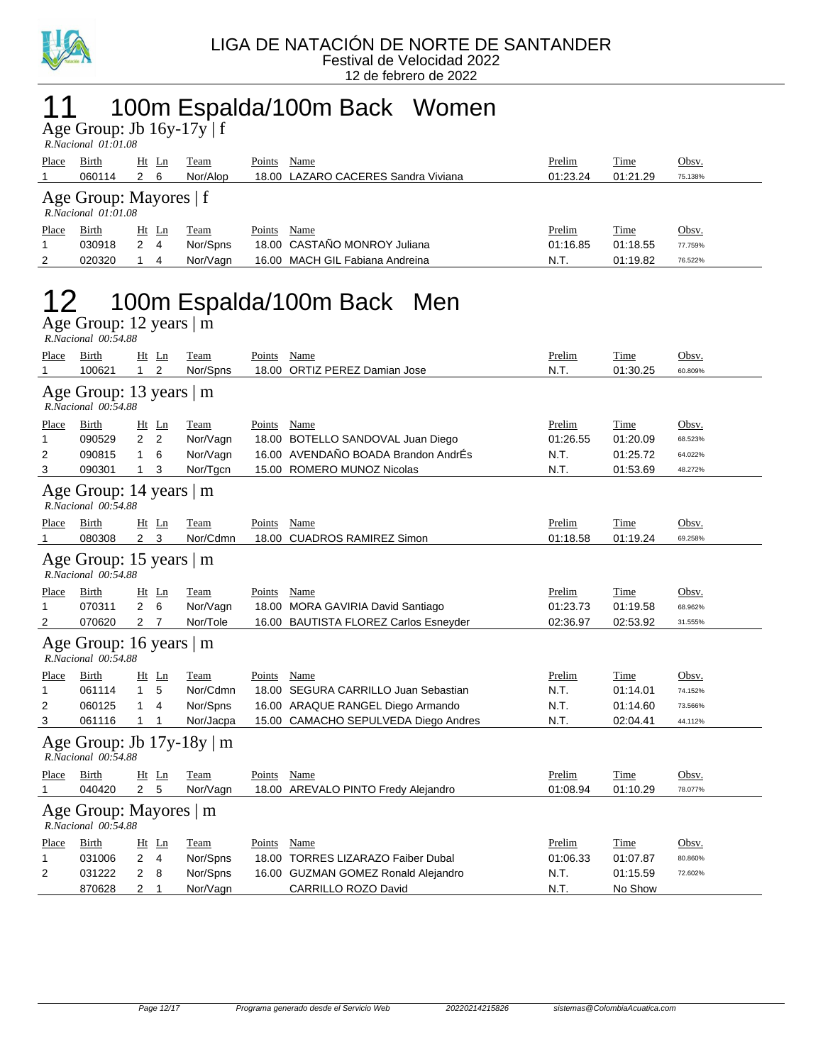

### 11 100m Espalda/100m Back Women

Age Group: Jb 16y-17y | f  *R.Nacional 01:01.08* 

| Place | Birth                                              | Ht | Ln   | Team     | Points | Name                                | Prelim   | <b>Time</b> | <u>Obsv.</u> |  |  |  |
|-------|----------------------------------------------------|----|------|----------|--------|-------------------------------------|----------|-------------|--------------|--|--|--|
|       | 060114                                             | 2  | - 6  | Nor/Alop |        | 18.00 LAZARO CACERES Sandra Viviana | 01:23.24 | 01:21.29    | 75.138%      |  |  |  |
|       | Age Group: Mayores   f<br>$R. Nacional$ $01:01.08$ |    |      |          |        |                                     |          |             |              |  |  |  |
| Place | Birth                                              | Ht | - Ln | Team     | Points | Name                                | Prelim   | Time        | Obsv.        |  |  |  |
|       | 030918                                             |    | 4    | Nor/Spns |        | 18.00 CASTAÑO MONROY Juliana        | 01:16.85 | 01:18.55    | 77.759%      |  |  |  |
| 2     | 020320                                             |    | 4    | Nor/Vagn |        | 16.00 MACH GIL Fabiana Andreina     | N.T.     | 01:19.82    | 76.522%      |  |  |  |

### 12 100m Espalda/100m Back Men

Age Group: 12 years | m

|              | R.Nacional 00:54.88                                   |                |                |             |             |                                       |          |             |         |  |  |
|--------------|-------------------------------------------------------|----------------|----------------|-------------|-------------|---------------------------------------|----------|-------------|---------|--|--|
| Place        | Birth                                                 |                | $Ht$ Ln        | Team        | Points      | Name                                  | Prelim   | Time        | Obsv.   |  |  |
| 1            | 100621                                                | 1              | $\overline{2}$ | Nor/Spns    |             | 18.00 ORTIZ PEREZ Damian Jose         | N.T.     | 01:30.25    | 60.809% |  |  |
|              | Age Group: 13 years $ m$<br>R.Nacional 00:54.88       |                |                |             |             |                                       |          |             |         |  |  |
| <u>Place</u> | Birth                                                 | Ht             | Ln             | Team        | Points Name |                                       | Prelim   | Time        | Obsv.   |  |  |
| 1            | 090529                                                | 2              | $\overline{2}$ | Nor/Vagn    |             | 18.00 BOTELLO SANDOVAL Juan Diego     | 01:26.55 | 01:20.09    | 68.523% |  |  |
| 2            | 090815                                                | 1              | 6              | Nor/Vagn    |             | 16.00 AVENDAÑO BOADA Brandon AndrÉs   | N.T.     | 01:25.72    | 64.022% |  |  |
| 3            | 090301                                                | $\mathbf{1}$   | 3              | Nor/Tgcn    |             | 15.00 ROMERO MUNOZ Nicolas            | N.T.     | 01:53.69    | 48.272% |  |  |
|              | Age Group: 14 years   m<br>R.Nacional 00:54.88        |                |                |             |             |                                       |          |             |         |  |  |
| Place        | Birth                                                 |                | Ht Ln          | Team        | Points Name |                                       | Prelim   | Time        | Obsv.   |  |  |
|              | 080308                                                | 2 <sub>3</sub> |                | Nor/Cdmn    |             | 18.00 CUADROS RAMIREZ Simon           | 01:18.58 | 01:19.24    | 69.258% |  |  |
|              | Age Group: 15 years $ m$<br>R.Nacional 00:54.88       |                |                |             |             |                                       |          |             |         |  |  |
| Place        | Birth                                                 |                | $Ht$ Ln        | <b>Team</b> | Points      | Name                                  | Prelim   | Time        | Obsv.   |  |  |
| 1            | 070311                                                | $\overline{2}$ | 6              | Nor/Vagn    |             | 18.00 MORA GAVIRIA David Santiago     | 01:23.73 | 01:19.58    | 68.962% |  |  |
| 2            | 070620                                                | 2 <sub>7</sub> |                | Nor/Tole    |             | 16.00 BAUTISTA FLOREZ Carlos Esneyder | 02:36.97 | 02:53.92    | 31.555% |  |  |
|              | Age Group: 16 years   m<br>R.Nacional 00:54.88        |                |                |             |             |                                       |          |             |         |  |  |
| <u>Place</u> | Birth                                                 |                | $Ht$ Ln        | Team        | Points Name |                                       | Prelim   | Time        | Obsv.   |  |  |
| 1            | 061114                                                | $\mathbf{1}$   | 5              | Nor/Cdmn    |             | 18.00 SEGURA CARRILLO Juan Sebastian  | N.T.     | 01:14.01    | 74.152% |  |  |
| 2            | 060125                                                | $\mathbf{1}$   | 4              | Nor/Spns    |             | 16.00 ARAQUE RANGEL Diego Armando     | N.T.     | 01:14.60    | 73.566% |  |  |
| 3            | 061116                                                | $\mathbf{1}$   | 1              | Nor/Jacpa   |             | 15.00 CAMACHO SEPULVEDA Diego Andres  | N.T.     | 02:04.41    | 44.112% |  |  |
|              | Age Group: Jb $17y-18y \mid m$<br>R.Nacional 00:54.88 |                |                |             |             |                                       |          |             |         |  |  |
| Place        | Birth                                                 |                | $Ht$ Ln        | Team        | Points      | Name                                  | Prelim   | Time        | Obsv.   |  |  |
| 1            | 040420                                                | 2 <sub>5</sub> |                | Nor/Vagn    |             | 18.00 AREVALO PINTO Fredy Alejandro   | 01:08.94 | 01:10.29    | 78.077% |  |  |
|              | Age Group: Mayores   m<br>R.Nacional 00:54.88         |                |                |             |             |                                       |          |             |         |  |  |
| <b>Place</b> | <b>Birth</b>                                          |                | Ht Ln          | <b>Team</b> | Points Name |                                       | Prelim   | <u>Time</u> | Obsv.   |  |  |
| 1            | 031006                                                | 2              | 4              | Nor/Spns    |             | 18.00 TORRES LIZARAZO Faiber Dubal    | 01:06.33 | 01:07.87    | 80.860% |  |  |
| 2            | 031222                                                | 2              | 8              | Nor/Spns    |             | 16.00 GUZMAN GOMEZ Ronald Alejandro   | N.T.     | 01:15.59    | 72.602% |  |  |
|              | 870628                                                | 2              | 1              | Nor/Vagn    |             | CARRILLO ROZO David                   | N.T.     | No Show     |         |  |  |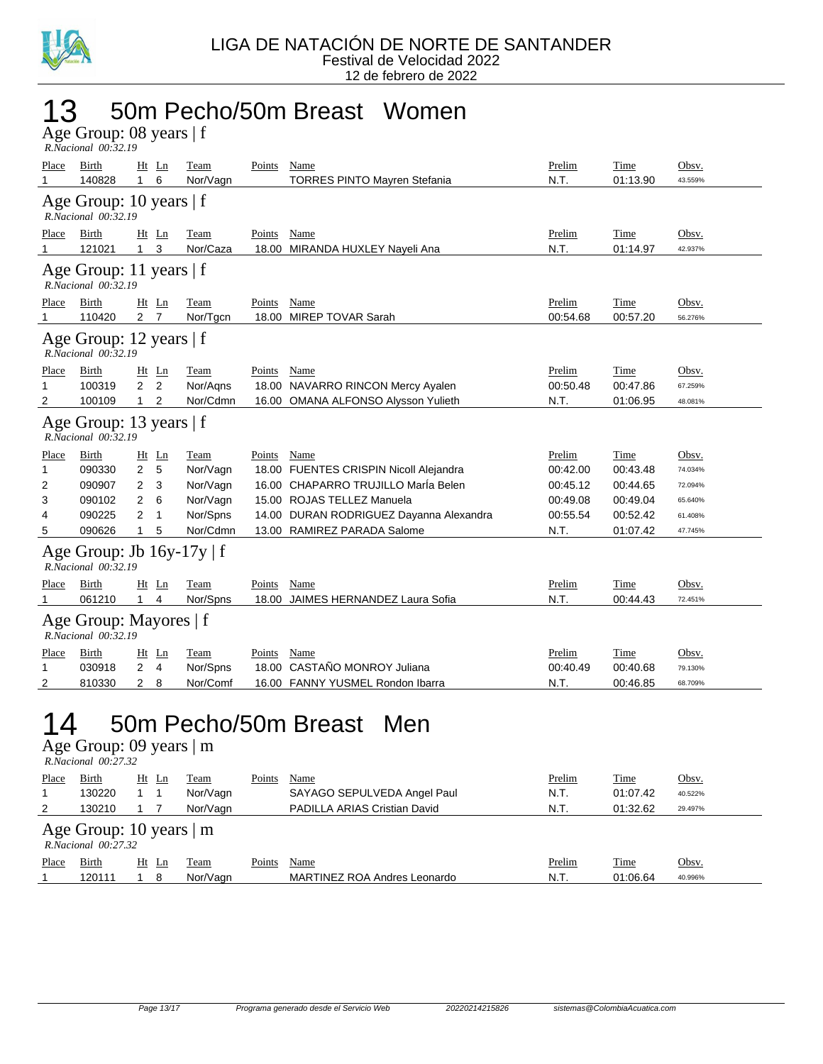

#### 13 50m Pecho/50m Breast Women

Age Group: 08 years | f  *R.Nacional 00:32.19* 

| Place | Birth                                                 |                | $Ht$ Ln        | Team        | Points | Name                                    | Prelim   | Time     | Obsv.   |
|-------|-------------------------------------------------------|----------------|----------------|-------------|--------|-----------------------------------------|----------|----------|---------|
|       | 140828                                                | $\mathbf{1}$   | 6              | Nor/Vagn    |        | <b>TORRES PINTO Mayren Stefania</b>     | N.T.     | 01:13.90 | 43.559% |
|       | Age Group: 10 years   f<br>R.Nacional 00:32.19        |                |                |             |        |                                         |          |          |         |
| Place | Birth                                                 |                | Ht Ln          | Team        | Points | Name                                    | Prelim   | Time     | Obsv.   |
| 1     | 121021                                                | 1              | 3              | Nor/Caza    |        | 18.00 MIRANDA HUXLEY Nayeli Ana         | N.T.     | 01:14.97 | 42.937% |
|       | Age Group: 11 years $ f $<br>R.Nacional 00:32.19      |                |                |             |        |                                         |          |          |         |
| Place | Birth                                                 |                | Ht Ln          | Team        | Points | Name                                    | Prelim   | Time     | Obsv.   |
| 1     | 110420                                                | 2 <sub>7</sub> |                | Nor/Tgcn    |        | 18.00 MIREP TOVAR Sarah                 | 00:54.68 | 00:57.20 | 56.276% |
|       | Age Group: 12 years $ f $<br>R.Nacional 00:32.19      |                |                |             |        |                                         |          |          |         |
| Place | Birth                                                 |                | Ht Ln          | Team        | Points | Name                                    | Prelim   | Time     | Obsv.   |
| 1     | 100319                                                | $\overline{2}$ | 2              | Nor/Agns    |        | 18.00 NAVARRO RINCON Mercy Ayalen       | 00:50.48 | 00:47.86 | 67.259% |
| 2     | 100109                                                | $\mathbf{1}$   | 2              | Nor/Cdmn    |        | 16.00 OMANA ALFONSO Alysson Yulieth     | N.T.     | 01:06.95 | 48.081% |
|       | Age Group: 13 years $ f $<br>R.Nacional 00:32.19      |                |                |             |        |                                         |          |          |         |
| Place | Birth                                                 |                | $Ht$ Ln        | <b>Team</b> | Points | <b>Name</b>                             | Prelim   | Time     | Obsv.   |
| 1     | 090330                                                | 2              | 5              | Nor/Vagn    |        | 18.00 FUENTES CRISPIN Nicoll Alejandra  | 00:42.00 | 00:43.48 | 74.034% |
| 2     | 090907                                                | 2              | 3              | Nor/Vagn    |        | 16.00 CHAPARRO TRUJILLO MarÍa Belen     | 00:45.12 | 00:44.65 | 72.094% |
| 3     | 090102                                                | 2              | 6              | Nor/Vagn    |        | 15.00 ROJAS TELLEZ Manuela              | 00:49.08 | 00:49.04 | 65.640% |
| 4     | 090225                                                | 2              | 1              | Nor/Spns    |        | 14.00 DURAN RODRIGUEZ Dayanna Alexandra | 00:55.54 | 00:52.42 | 61.408% |
| 5     | 090626                                                | 1.             | 5              | Nor/Cdmn    |        | 13.00 RAMIREZ PARADA Salome             | N.T.     | 01:07.42 | 47.745% |
|       | Age Group: Jb $16y-17y \mid f$<br>R.Nacional 00:32.19 |                |                |             |        |                                         |          |          |         |
| Place | Birth                                                 |                | $Ht$ Ln        | Team        | Points | Name                                    | Prelim   | Time     | Obsv.   |
| 1     | 061210                                                | 1.             | $\overline{4}$ | Nor/Spns    |        | 18.00 JAIMES HERNANDEZ Laura Sofia      | N.T.     | 00:44.43 | 72.451% |
|       | Age Group: Mayores   f<br>R.Nacional 00:32.19         |                |                |             |        |                                         |          |          |         |
| Place | Birth                                                 |                | $Ht$ Ln        | Team        | Points | Name                                    | Prelim   | Time     | Obsv.   |
| 1     | 030918                                                | 2              | $\overline{4}$ | Nor/Spns    |        | 18.00 CASTAÑO MONROY Juliana            | 00:40.49 | 00:40.68 | 79.130% |
| 2     | 810330                                                | $\overline{2}$ | 8              | Nor/Comf    |        | 16.00 FANNY YUSMEL Rondon Ibarra        | N.T.     | 00:46.85 | 68.709% |
|       |                                                       |                |                |             |        |                                         |          |          |         |

#### 14 50m Pecho/50m Breast Men

Age Group: 09 years | m

 *R.Nacional 00:27.32* 

| Place | <b>Birth</b>                                          | Ht Ln | Team     | Points | Name                         | Prelim | <b>Time</b> | Obsv.   |  |  |  |
|-------|-------------------------------------------------------|-------|----------|--------|------------------------------|--------|-------------|---------|--|--|--|
|       | 130220                                                |       | Nor/Vagn |        | SAYAGO SEPULVEDA Angel Paul  | N.T.   | 01:07.42    | 40.522% |  |  |  |
| 2     | 130210                                                |       | Nor/Vagn |        | PADILLA ARIAS Cristian David | N.T.   | 01:32.62    | 29.497% |  |  |  |
|       | Age Group: 10 years $\vert$ m<br>R. Nacional 00:27.32 |       |          |        |                              |        |             |         |  |  |  |
| Place | Birth                                                 | Ht Ln | Team     | Points | Name                         | Prelim | <b>Time</b> | Obsv.   |  |  |  |
|       | 120111                                                | 8     | Nor/Vagn |        | MARTINEZ ROA Andres Leonardo | N.T.   | 01:06.64    | 40.996% |  |  |  |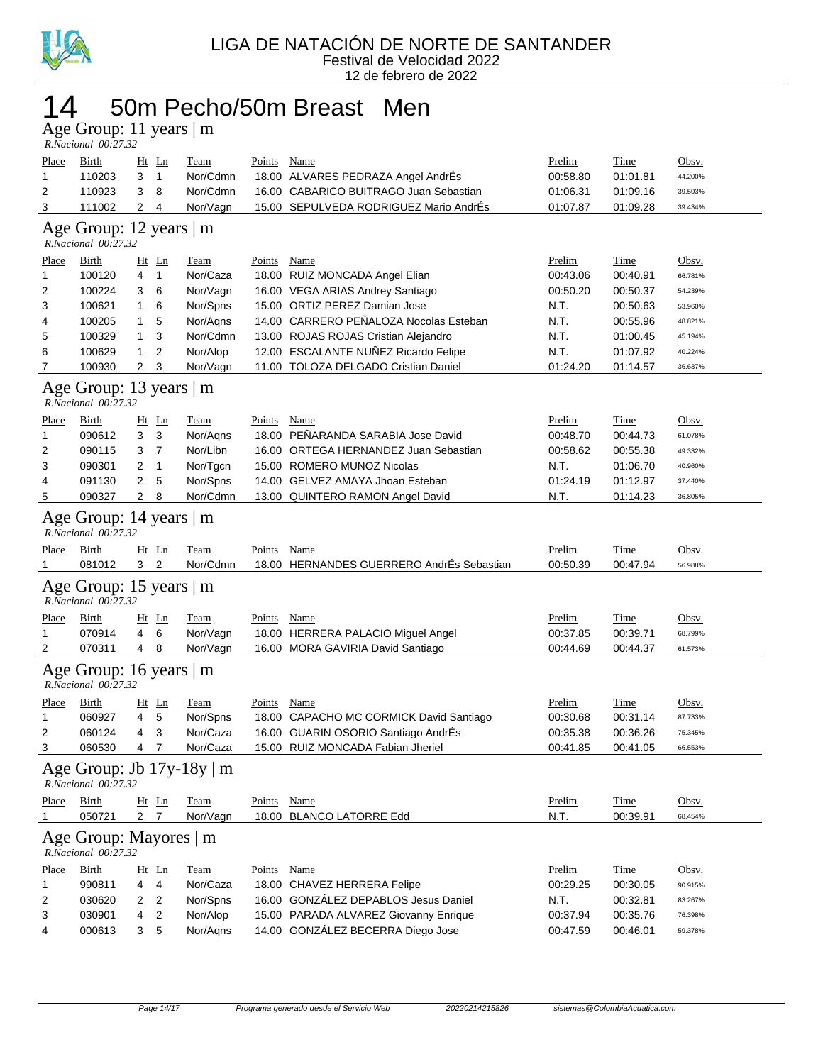

#### 14 50m Pecho/50m Breast Men

Age Group: 11 years | m

|              | R.Nacional 00:27.32                             |                  |                |                                |               |                                           |               |             |         |  |  |
|--------------|-------------------------------------------------|------------------|----------------|--------------------------------|---------------|-------------------------------------------|---------------|-------------|---------|--|--|
| <b>Place</b> | <b>Birth</b>                                    | $Ht$ Ln          |                | <b>Team</b>                    | <b>Points</b> | Name                                      | Prelim        | <b>Time</b> | Obsv.   |  |  |
| 1            | 110203                                          | 3                | $\mathbf{1}$   | Nor/Cdmn                       |               | 18.00 ALVARES PEDRAZA Angel AndrEs        | 00:58.80      | 01:01.81    | 44.200% |  |  |
| 2            | 110923                                          | 3                | 8              | Nor/Cdmn                       |               | 16.00 CABARICO BUITRAGO Juan Sebastian    | 01:06.31      | 01:09.16    | 39.503% |  |  |
| 3            | 111002                                          | 2                | 4              | Nor/Vagn                       |               | 15.00 SEPULVEDA RODRIGUEZ Mario AndrEs    | 01:07.87      | 01:09.28    | 39.434% |  |  |
|              | Age Group: 12 years   m<br>R.Nacional 00:27.32  |                  |                |                                |               |                                           |               |             |         |  |  |
| Place        | Birth                                           | $Ht$ Ln          |                | Team                           | Points        | Name                                      | Prelim        | <b>Time</b> | Obsv.   |  |  |
| 1            | 100120                                          | 4                | $\mathbf{1}$   | Nor/Caza                       |               | 18.00 RUIZ MONCADA Angel Elian            | 00:43.06      | 00:40.91    | 66.781% |  |  |
| 2            | 100224                                          | 3                | 6              | Nor/Vagn                       |               | 16.00 VEGA ARIAS Andrey Santiago          | 00:50.20      | 00:50.37    | 54.239% |  |  |
| 3            | 100621                                          | 1                | 6              | Nor/Spns                       |               | 15.00 ORTIZ PEREZ Damian Jose             | N.T.          | 00:50.63    | 53.960% |  |  |
| 4            | 100205                                          | 1                | 5              | Nor/Aqns                       |               | 14.00 CARRERO PEÑALOZA Nocolas Esteban    | N.T.          | 00:55.96    | 48.821% |  |  |
| 5            | 100329                                          | 1                | 3              | Nor/Cdmn                       |               | 13.00 ROJAS ROJAS Cristian Alejandro      | N.T.          | 01:00.45    | 45.194% |  |  |
| 6            | 100629                                          | 1                | 2              | Nor/Alop                       |               | 12.00 ESCALANTE NUÑEZ Ricardo Felipe      | N.T.          | 01:07.92    | 40.224% |  |  |
| 7            | 100930                                          | 2                | 3              | Nor/Vagn                       |               | 11.00 TOLOZA DELGADO Cristian Daniel      | 01:24.20      | 01:14.57    | 36.637% |  |  |
|              | Age Group: 13 years   m<br>R.Nacional 00:27.32  |                  |                |                                |               |                                           |               |             |         |  |  |
| <b>Place</b> | Birth                                           | $Ht$ Ln          |                | <b>Team</b>                    | <b>Points</b> | <b>Name</b>                               | Prelim        | <b>Time</b> | Obsv.   |  |  |
| 1            | 090612                                          | 3                | 3              | Nor/Agns                       | 18.00         | PEÑARANDA SARABIA Jose David              | 00:48.70      | 00:44.73    | 61.078% |  |  |
| 2            | 090115                                          | 3                | $\overline{7}$ | Nor/Libn                       |               | 16.00 ORTEGA HERNANDEZ Juan Sebastian     | 00:58.62      | 00:55.38    | 49.332% |  |  |
| 3            | 090301                                          | 2                | $\mathbf{1}$   | Nor/Tgcn                       |               | 15.00 ROMERO MUNOZ Nicolas                | N.T.          | 01:06.70    | 40.960% |  |  |
| 4            | 091130                                          | 2                | 5              | Nor/Spns                       |               | 14.00 GELVEZ AMAYA Jhoan Esteban          | 01:24.19      | 01:12.97    | 37.440% |  |  |
| 5            | 090327                                          | $\overline{2}$   | 8              | Nor/Cdmn                       |               | 13.00 QUINTERO RAMON Angel David          | N.T.          | 01:14.23    | 36.805% |  |  |
|              | Age Group: 14 years   m<br>R.Nacional 00:27.32  |                  |                |                                |               |                                           |               |             |         |  |  |
|              |                                                 |                  |                |                                |               |                                           |               |             |         |  |  |
| <u>Place</u> | Birth                                           | $Ht$ Ln          |                | <u>Team</u>                    | <b>Points</b> | <b>Name</b>                               | <b>Prelim</b> | <u>Time</u> | Obsv.   |  |  |
| 1            | 081012                                          | 3 <sup>1</sup>   | $\overline{2}$ | Nor/Cdmn                       |               | 18.00 HERNANDES GUERRERO AndrÉs Sebastian | 00:50.39      | 00:47.94    | 56.988% |  |  |
|              | Age Group: 15 years   m<br>R.Nacional 00:27.32  |                  |                |                                |               |                                           |               |             |         |  |  |
| <u>Place</u> | <u>Birth</u>                                    | $Ht$ Ln          |                | <u>Team</u>                    | <b>Points</b> | <b>Name</b>                               | <b>Prelim</b> | <u>Time</u> | Obsv.   |  |  |
| 1            | 070914                                          | 4                | 6              | Nor/Vagn                       |               | 18.00 HERRERA PALACIO Miguel Angel        | 00:37.85      | 00:39.71    | 68.799% |  |  |
| 2            | 070311                                          | 4                | 8              | Nor/Vagn                       |               | 16.00 MORA GAVIRIA David Santiago         | 00:44.69      | 00:44.37    | 61.573% |  |  |
|              | Age Group: 16 years $ m$<br>R.Nacional 00:27.32 |                  |                |                                |               |                                           |               |             |         |  |  |
| Place        | <b>Birth</b>                                    | <u>Ht Ln</u>     |                | Team                           | Points        | Name                                      | Prelim        | Time        | Obsv.   |  |  |
| 1            | 060927                                          | 4                | 5              | Nor/Spns                       |               | 18.00 CAPACHO MC CORMICK David Santiago   | 00:30.68      | 00:31.14    | 87.733% |  |  |
| 2            | 060124                                          | 4                | 3              | Nor/Caza                       |               | 16.00 GUARIN OSORIO Santiago AndrÉs       | 00:35.38      | 00:36.26    | 75.345% |  |  |
| 3            | 060530                                          | 4                | 7              | Nor/Caza                       |               | 15.00 RUIZ MONCADA Fabian Jheriel         | 00:41.85      | 00:41.05    | 66.553% |  |  |
|              | R.Nacional 00:27.32                             |                  |                | Age Group: Jb $17y-18y \mid m$ |               |                                           |               |             |         |  |  |
| <b>Place</b> | <b>Birth</b>                                    | Ht Ln            |                | <b>Team</b>                    | Points        | Name                                      | Prelim        | Time        | Obsv.   |  |  |
| 1            | 050721                                          | $2 \overline{7}$ |                | Nor/Vagn                       |               | 18.00 BLANCO LATORRE Edd                  | N.T.          | 00:39.91    | 68.454% |  |  |
|              | Age Group: Mayores   m<br>R.Nacional 00:27.32   |                  |                |                                |               |                                           |               |             |         |  |  |
| Place        | <b>Birth</b>                                    | Ht Ln            |                | <b>Team</b>                    | <b>Points</b> | Name                                      | Prelim        | Time        | Obsv.   |  |  |
| 1            | 990811                                          | 4                | 4              | Nor/Caza                       |               | 18.00 CHAVEZ HERRERA Felipe               | 00:29.25      | 00:30.05    | 90.915% |  |  |
| 2            | 030620                                          | $\overline{2}$   | 2              | Nor/Spns                       |               | 16.00 GONZÁLEZ DEPABLOS Jesus Daniel      | N.T.          | 00:32.81    | 83.267% |  |  |
| 3            | 030901                                          | 4                | $\overline{c}$ | Nor/Alop                       |               | 15.00 PARADA ALVAREZ Giovanny Enrique     | 00:37.94      | 00:35.76    | 76.398% |  |  |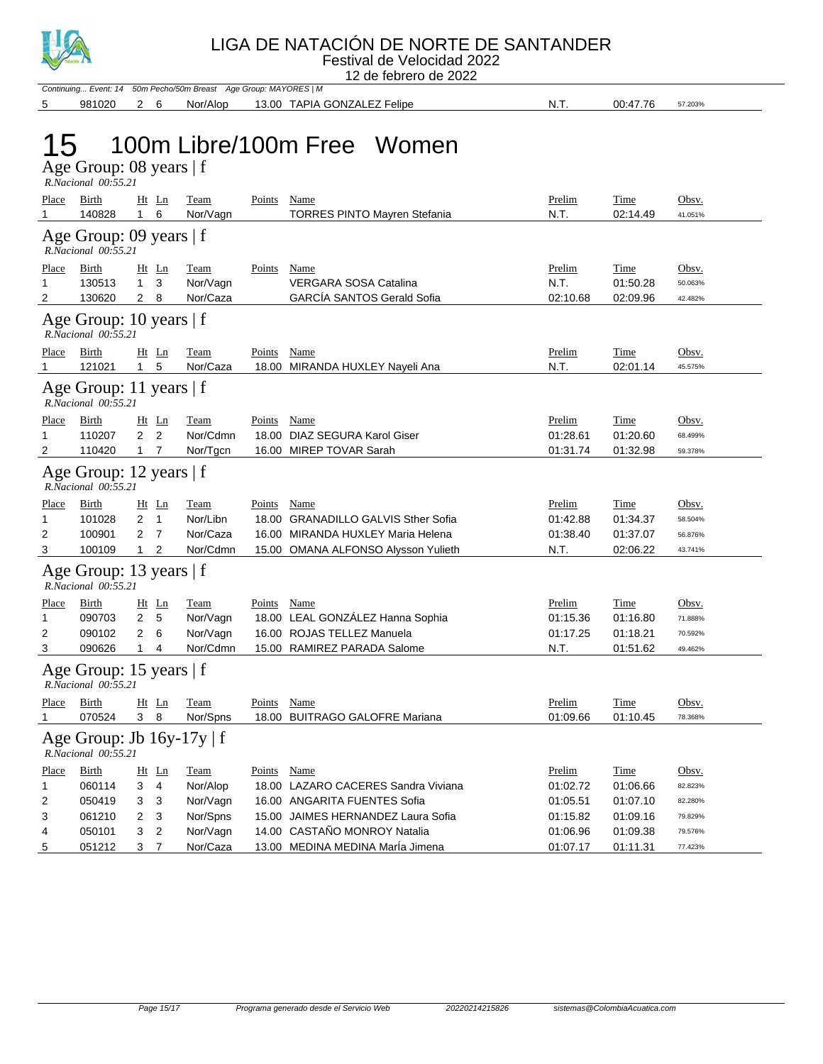

Festival de Velocidad 2022 12 de febrero de 2022

Continuing... Event: 14 50m Pecho/50m Breast Age Group: MAYORES | M 5 981020 2 6 Nor/Alop 13.00 TAPIA GONZALEZ Felipe N.T. 00:47.76 57.203%

### 15 100m Libre/100m Free Women

Age Group: 08 years | f  *R.Nacional 00:55.21* 

| Place<br>1                                       | Birth<br>140828                                       | 1                                     | $Ht$ Ln<br>6                                                  | Team<br>Nor/Vagn                                     | Points      | <b>Name</b><br><b>TORRES PINTO Mayren Stefania</b>                                                                                        | Prelim<br>N.T.                                         | Time<br>02:14.49                                     | Obsv.<br>41.051%                                  |  |
|--------------------------------------------------|-------------------------------------------------------|---------------------------------------|---------------------------------------------------------------|------------------------------------------------------|-------------|-------------------------------------------------------------------------------------------------------------------------------------------|--------------------------------------------------------|------------------------------------------------------|---------------------------------------------------|--|
|                                                  | Age Group: 09 years   f<br>R.Nacional 00:55.21        |                                       |                                                               |                                                      |             |                                                                                                                                           |                                                        |                                                      |                                                   |  |
| Place<br>1<br>2                                  | Birth<br>130513<br>130620                             | $1 \quad 3$<br>2 <sub>8</sub>         | Ht Ln                                                         | <b>Team</b><br>Nor/Vagn<br>Nor/Caza                  | Points      | <b>Name</b><br><b>VERGARA SOSA Catalina</b><br><b>GARCIA SANTOS Gerald Sofia</b>                                                          | Prelim<br>N.T.<br>02:10.68                             | <b>Time</b><br>01:50.28<br>02:09.96                  | Obsv.<br>50.063%<br>42.482%                       |  |
| Age Group: 10 years $ f $<br>R.Nacional 00:55.21 |                                                       |                                       |                                                               |                                                      |             |                                                                                                                                           |                                                        |                                                      |                                                   |  |
| <u>Place</u><br>1                                | <b>Birth</b><br>121021                                | $\mathbf{1}$                          | $Ht$ Ln<br>5                                                  | <b>Team</b><br>Nor/Caza                              | Points Name | 18.00 MIRANDA HUXLEY Nayeli Ana                                                                                                           | Prelim<br>N.T.                                         | <b>Time</b><br>02:01.14                              | Obsv.<br>45.575%                                  |  |
|                                                  | Age Group: 11 years $ f $<br>R.Nacional 00:55.21      |                                       |                                                               |                                                      |             |                                                                                                                                           |                                                        |                                                      |                                                   |  |
| Place<br>1<br>$\overline{2}$                     | Birth<br>110207<br>110420                             | $\mathbf{2}$<br>$1 \quad 7$           | $Ht$ Ln<br>2                                                  | <b>Team</b><br>Nor/Cdmn<br>Nor/Tgcn                  | Points Name | 18.00 DIAZ SEGURA Karol Giser<br>16.00 MIREP TOVAR Sarah                                                                                  | Prelim<br>01:28.61<br>01:31.74                         | <b>Time</b><br>01:20.60<br>01:32.98                  | Obsv.<br>68.499%<br>59.378%                       |  |
|                                                  | Age Group: 12 years   f<br>$R. Nacional$ $00:55.21$   |                                       |                                                               |                                                      |             |                                                                                                                                           |                                                        |                                                      |                                                   |  |
| <u>Place</u><br>1<br>2<br>3                      | Birth<br>101028<br>100901<br>100109                   | 2<br>2<br>$\mathbf{1}$                | $Ht$ Ln<br>$\overline{1}$<br>$\overline{7}$<br>$\overline{2}$ | <b>Team</b><br>Nor/Libn<br>Nor/Caza<br>Nor/Cdmn      | Points Name | 18.00 GRANADILLO GALVIS Sther Sofia<br>16.00 MIRANDA HUXLEY Maria Helena<br>15.00 OMANA ALFONSO Alysson Yulieth                           | Prelim<br>01:42.88<br>01:38.40<br>N.T.                 | <b>Time</b><br>01:34.37<br>01:37.07<br>02:06.22      | Obsv.<br>58.504%<br>56.876%<br>43.741%            |  |
|                                                  | Age Group: 13 years   f<br>R.Nacional 00:55.21        |                                       |                                                               |                                                      |             |                                                                                                                                           |                                                        |                                                      |                                                   |  |
| <u>Place</u><br>1<br>2<br>3                      | <b>Birth</b><br>090703<br>090102<br>090626            | $\overline{2}$<br>$\overline{2}$<br>1 | Ht Ln<br>- 5<br>6<br>$\overline{4}$                           | <b>Team</b><br>Nor/Vagn<br>Nor/Vagn<br>Nor/Cdmn      | Points Name | 18.00 LEAL GONZÁLEZ Hanna Sophia<br>16.00 ROJAS TELLEZ Manuela<br>15.00 RAMIREZ PARADA Salome                                             | Prelim<br>01:15.36<br>01:17.25<br>N.T.                 | <b>Time</b><br>01:16.80<br>01:18.21<br>01:51.62      | Obsv.<br>71.888%<br>70.592%<br>49.462%            |  |
|                                                  | Age Group: 15 years $ f $<br>R.Nacional 00:55.21      |                                       |                                                               |                                                      |             |                                                                                                                                           |                                                        |                                                      |                                                   |  |
| Place<br>$\mathbf{1}$                            | Birth<br>070524                                       | 3 <sub>8</sub>                        | $Ht$ Ln                                                       | <b>Team</b><br>Nor/Spns                              | Points      | <b>Name</b><br>18.00 BUITRAGO GALOFRE Mariana                                                                                             | Prelim<br>01:09.66                                     | Time<br>01:10.45                                     | Obsv.<br>78.368%                                  |  |
|                                                  | Age Group: Jb $16y-17y \mid f$<br>R.Nacional 00:55.21 |                                       |                                                               |                                                      |             |                                                                                                                                           |                                                        |                                                      |                                                   |  |
| Place<br>1<br>2<br>3<br>4                        | Birth<br>060114<br>050419<br>061210<br>050101         | 3<br>3<br>2<br>3                      | $Ht$ Ln<br>4<br>3<br>3<br>$\overline{2}$                      | Team<br>Nor/Alop<br>Nor/Vagn<br>Nor/Spns<br>Nor/Vagn | Points Name | 18.00 LAZARO CACERES Sandra Viviana<br>16.00 ANGARITA FUENTES Sofia<br>15.00 JAIMES HERNANDEZ Laura Sofia<br>14.00 CASTAÑO MONROY Natalia | Prelim<br>01:02.72<br>01:05.51<br>01:15.82<br>01:06.96 | Time<br>01:06.66<br>01:07.10<br>01:09.16<br>01:09.38 | Obsv.<br>82.823%<br>82.280%<br>79.829%<br>79.576% |  |
| 5                                                | 051212                                                | 3                                     | 7                                                             | Nor/Caza                                             |             | 13.00 MEDINA MEDINA María Jimena                                                                                                          | 01:07.17                                               | 01:11.31                                             | 77.423%                                           |  |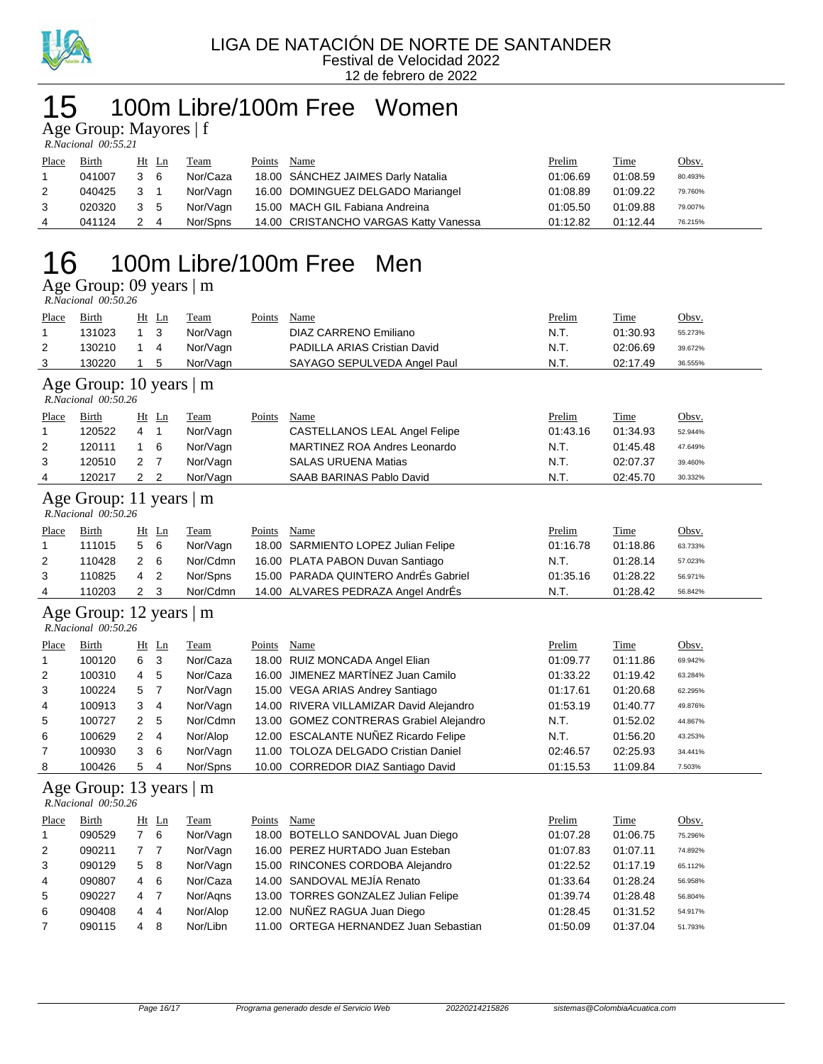

#### 15 100m Libre/100m Free Women

Age Group: Mayores | f

| R.Nacional 00:55.21 |  |
|---------------------|--|

| Place          | <b>Birth</b> | $Ht$ Ln | <b>Team</b> | Points | Name                                  | <b>Prelim</b> | <b>Time</b> | <u>Obsv.</u> |
|----------------|--------------|---------|-------------|--------|---------------------------------------|---------------|-------------|--------------|
|                | 041007       | 3 6     | Nor/Caza    |        | 18.00 SANCHEZ JAIMES Darly Natalia    | 01:06.69      | 01:08.59    | 80.493%      |
|                | 040425       | 3 1     | Nor/Vagn    |        | 16.00 DOMINGUEZ DELGADO Mariangel     | 01:08.89      | 01:09.22    | 79.760%      |
|                | 020320       | 3 5     | Nor/Vagn    |        | 15.00 MACH GIL Fabiana Andreina       | 01:05.50      | 01:09.88    | 79.007%      |
| $\overline{4}$ | 041124       | 2 4     | Nor/Spns    |        | 14.00 CRISTANCHO VARGAS Katty Vanessa | 01:12.82      | 01:12.44    | 76.215%      |

### 16 100m Libre/100m Free Men

Age Group: 09 years | m

| R.Nacional 00:50.26 |  |
|---------------------|--|
|---------------------|--|

| Place          | <b>Birth</b>                                       |                | Ht Ln          | <u>Team</u> | <b>Points</b> | Name                                    | Prelim   | <b>Time</b> | Obsv.   |  |  |  |
|----------------|----------------------------------------------------|----------------|----------------|-------------|---------------|-----------------------------------------|----------|-------------|---------|--|--|--|
| 1              | 131023                                             | $\mathbf{1}$   | 3              | Nor/Vagn    |               | <b>DIAZ CARRENO Emiliano</b>            | N.T.     | 01:30.93    | 55.273% |  |  |  |
| $\overline{2}$ | 130210                                             | $\mathbf{1}$   | $\overline{4}$ | Nor/Vagn    |               | PADILLA ARIAS Cristian David            | N.T.     | 02:06.69    | 39.672% |  |  |  |
| 3              | 130220                                             | $\mathbf{1}$   | 5              | Nor/Vagn    |               | SAYAGO SEPULVEDA Angel Paul             | N.T.     | 02:17.49    | 36.555% |  |  |  |
|                | Age Group: 10 years   m<br>R.Nacional 00:50.26     |                |                |             |               |                                         |          |             |         |  |  |  |
| Place          | Birth                                              |                | Ht Ln          | Team        | Points        | Name                                    | Prelim   | Time        | Obsv.   |  |  |  |
| 1              | 120522                                             | 4              | $\mathbf{1}$   | Nor/Vagn    |               | <b>CASTELLANOS LEAL Angel Felipe</b>    | 01:43.16 | 01:34.93    | 52.944% |  |  |  |
| 2              | 120111                                             | $\mathbf{1}$   | 6              | Nor/Vagn    |               | <b>MARTINEZ ROA Andres Leonardo</b>     | N.T.     | 01:45.48    | 47.649% |  |  |  |
| 3              | 120510                                             | 2              | $\overline{7}$ | Nor/Vagn    |               | <b>SALAS URUENA Matias</b>              | N.T.     | 02:07.37    | 39.460% |  |  |  |
| 4              | 120217                                             | 2              | $\overline{2}$ | Nor/Vagn    |               | SAAB BARINAS Pablo David                | N.T.     | 02:45.70    | 30.332% |  |  |  |
|                | Age Group: 11 years   m<br>R.Nacional 00:50.26     |                |                |             |               |                                         |          |             |         |  |  |  |
| Place          | Birth                                              |                | Ht Ln          | Team        | Points        | Name                                    | Prelim   | Time        | Obsv.   |  |  |  |
| 1              | 111015                                             | 5              | 6              | Nor/Vagn    |               | 18.00 SARMIENTO LOPEZ Julian Felipe     | 01:16.78 | 01:18.86    | 63.733% |  |  |  |
| $\overline{2}$ | 110428                                             | 2              | 6              | Nor/Cdmn    |               | 16.00 PLATA PABON Duvan Santiago        | N.T.     | 01:28.14    | 57.023% |  |  |  |
| 3              | 110825                                             | 4              | $\overline{2}$ | Nor/Spns    |               | 15.00 PARADA QUINTERO AndrÉs Gabriel    | 01:35.16 | 01:28.22    | 56.971% |  |  |  |
| 4              | 110203                                             | $\overline{2}$ | 3              | Nor/Cdmn    |               | 14.00 ALVARES PEDRAZA Angel AndrÉs      | N.T.     | 01:28.42    | 56.842% |  |  |  |
|                | Age Group: 12 years   m<br>$R.Nacional$ $00:50.26$ |                |                |             |               |                                         |          |             |         |  |  |  |
| Place          | Birth                                              |                | Ht Ln          | Team        | Points        | <b>Name</b>                             | Prelim   | <b>Time</b> | Obsv.   |  |  |  |
| 1              | 100120                                             | 6              | 3              | Nor/Caza    |               | 18.00 RUIZ MONCADA Angel Elian          | 01:09.77 | 01:11.86    | 69.942% |  |  |  |
| 2              | 100310                                             | 4              | 5              | Nor/Caza    |               | 16.00 JIMENEZ MARTINEZ Juan Camilo      | 01:33.22 | 01:19.42    | 63.284% |  |  |  |
| 3              | 100224                                             | 5              | $\overline{7}$ | Nor/Vagn    |               | 15.00 VEGA ARIAS Andrey Santiago        | 01:17.61 | 01:20.68    | 62.295% |  |  |  |
| 4              | 100913                                             | 3              | 4              | Nor/Vagn    |               | 14.00 RIVERA VILLAMIZAR David Alejandro | 01:53.19 | 01:40.77    | 49.876% |  |  |  |
| 5              | 100727                                             | 2              | 5              | Nor/Cdmn    |               | 13.00 GOMEZ CONTRERAS Grabiel Alejandro | N.T.     | 01:52.02    | 44.867% |  |  |  |
| 6              | 100629                                             | 2              | $\overline{4}$ | Nor/Alop    |               | 12.00 ESCALANTE NUÑEZ Ricardo Felipe    | N.T.     | 01:56.20    | 43.253% |  |  |  |
| 7              | 100930                                             | 3              | 6              | Nor/Vagn    |               | 11.00 TOLOZA DELGADO Cristian Daniel    | 02:46.57 | 02:25.93    | 34.441% |  |  |  |
| 8              | 100426                                             | 5              | 4              | Nor/Spns    |               | 10.00 CORREDOR DIAZ Santiago David      | 01:15.53 | 11:09.84    | 7.503%  |  |  |  |
|                | Age Group: 13 years   m<br>R.Nacional 00:50.26     |                |                |             |               |                                         |          |             |         |  |  |  |
| <u>Place</u>   | Birth                                              |                | Ht Ln          | Team        | Points        | Name                                    | Prelim   | Time        | Obsv.   |  |  |  |
| 1              | 090529                                             | $\overline{7}$ | 6              | Nor/Vagn    |               | 18.00 BOTELLO SANDOVAL Juan Diego       | 01:07.28 | 01:06.75    | 75.296% |  |  |  |
| 2              | 090211                                             | 7              | $\overline{7}$ | Nor/Vagn    |               | 16.00 PEREZ HURTADO Juan Esteban        | 01:07.83 | 01:07.11    | 74.892% |  |  |  |
| 3              | 090129                                             | 5              | 8              | Nor/Vagn    |               | 15.00 RINCONES CORDOBA Alejandro        | 01:22.52 | 01:17.19    | 65.112% |  |  |  |
| 4              | 090807                                             | 4              | 6              | Nor/Caza    |               | 14.00 SANDOVAL MEJÍA Renato             | 01:33.64 | 01:28.24    | 56.958% |  |  |  |
| 5              | 090227                                             | 4              | $\overline{7}$ | Nor/Aqns    |               | 13.00 TORRES GONZALEZ Julian Felipe     | 01:39.74 | 01:28.48    | 56.804% |  |  |  |
| 6              | 090408                                             | 4              | 4              | Nor/Alop    |               | 12.00 NUÑEZ RAGUA Juan Diego            | 01:28.45 | 01:31.52    | 54.917% |  |  |  |
| 7              | 090115                                             | 4              | 8              | Nor/Libn    |               | 11.00 ORTEGA HERNANDEZ Juan Sebastian   | 01:50.09 | 01:37.04    | 51.793% |  |  |  |